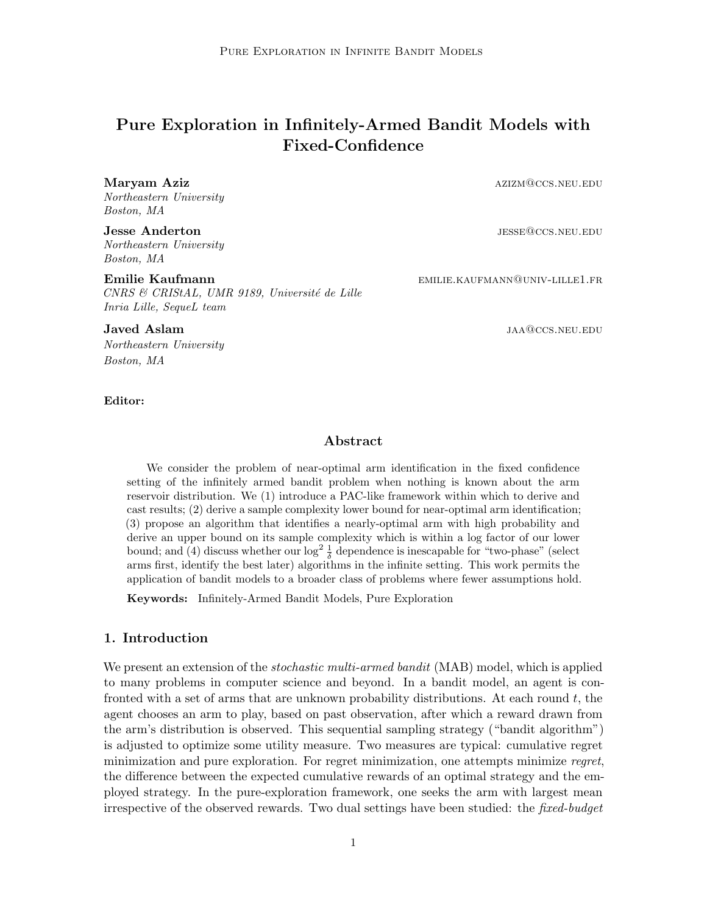# **Pure Exploration in Infinitely-Armed Bandit Models with Fixed-Confidence**

*Northeastern University Boston, MA*

*Northeastern University Boston, MA*

*CNRS & CRIStAL, UMR 9189, Universit´e de Lille Inria Lille, SequeL team*

*Northeastern University Boston, MA*

#### **Editor:**

**Maryam Aziz** and the settlement of the settlement of the settlement of the settlement of the settlement of the settlement of the settlement of the settlement of the settlement of the settlement of the settlement of the se

**Jesse Anderton** jesse@ccs.neu.edu

**Emilie Kaufmann** emilie **Kaufmann** emilie.kaufmann@univ-lille1.fr

**Javed Aslam** jaar jaar ja suurinnud van die steun van die steun van die steun van die steun van die steun van die steun van die steun van die steun van die steun van die steun van die steun van die steun van die steun van

#### **Abstract**

We consider the problem of near-optimal arm identification in the fixed confidence setting of the infinitely armed bandit problem when nothing is known about the arm reservoir distribution. We (1) introduce a PAC-like framework within which to derive and cast results; (2) derive a sample complexity lower bound for near-optimal arm identification; (3) propose an algorithm that identifies a nearly-optimal arm with high probability and derive an upper bound on its sample complexity which is within a log factor of our lower bound; and (4) discuss whether our log<sup>2</sup>  $\frac{1}{\delta}$  dependence is inescapable for "two-phase" (select arms first, identify the best later) algorithms in the infinite setting. This work permits the application of bandit models to a broader class of problems where fewer assumptions hold.

**Keywords:** Infinitely-Armed Bandit Models, Pure Exploration

#### <span id="page-0-0"></span>**1. Introduction**

We present an extension of the *stochastic multi-armed bandit* (MAB) model, which is applied to many problems in computer science and beyond. In a bandit model, an agent is confronted with a set of arms that are unknown probability distributions. At each round *t*, the agent chooses an arm to play, based on past observation, after which a reward drawn from the arm's distribution is observed. This sequential sampling strategy ("bandit algorithm") is adjusted to optimize some utility measure. Two measures are typical: cumulative regret minimization and pure exploration. For regret minimization, one attempts minimize *regret*, the difference between the expected cumulative rewards of an optimal strategy and the employed strategy. In the pure-exploration framework, one seeks the arm with largest mean irrespective of the observed rewards. Two dual settings have been studied: the *fixed-budget*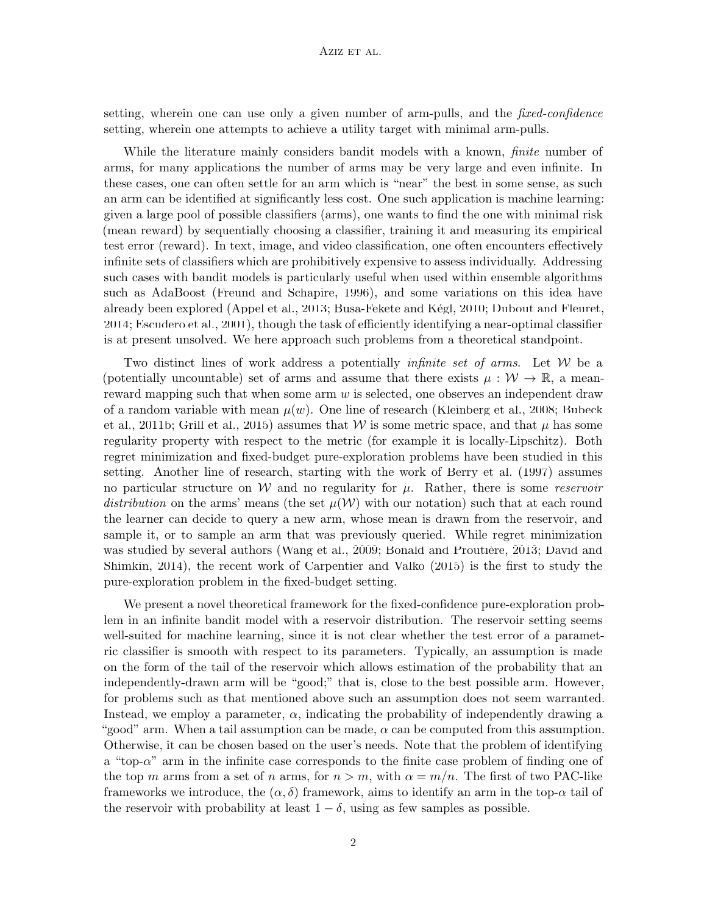setting, wherein one can use only a given number of arm-pulls, and the *fixed-confidence* setting, wherein one attempts to achieve a utility target with minimal arm-pulls.

While the literature mainly considers bandit models with a known, *finite* number of arms, for many applications the number of arms may be very large and even infinite. In these cases, one can often settle for an arm which is "near" the best in some sense, as such an arm can be identified at significantly less cost. One such application is machine learning: given a large pool of possible classifiers (arms), one wants to find the one with minimal risk (mean reward) by sequentially choosing a classifier, training it and measuring its empirical test error (reward). In text, image, and video classification, one often encounters effectively infinite sets of classifiers which are prohibitively expensive to assess individually. Addressing such cases with bandit models is particularly useful when used within ensemble algorithms such as AdaBoost ([Freund and Schapire,](#page-12-0) [1996\)](#page-12-0), and some variations on this idea have already been explored [\(Appel et al.](#page-12-1), [2013](#page-12-1); Busa-Fekete and Kégl, [2010](#page-12-2); [Dubout and Fleuret](#page-12-3), [2014;](#page-12-3) [Escudero et al.](#page-12-4), [2001](#page-12-4)), though the task of efficiently identifying a near-optimal classifier is at present unsolved. We here approach such problems from a theoretical standpoint.

Two distinct lines of work address a potentially *infinite set of arms*. Let *W* be a (potentially uncountable) set of arms and assume that there exists  $\mu : W \to \mathbb{R}$ , a meanreward mapping such that when some arm *w* is selected, one observes an independent draw of a random variable with mean  $\mu(w)$ . One line of research [\(Kleinberg et al.](#page-13-0), [2008](#page-13-0); [Bubeck](#page-12-5) [et al.](#page-12-5), [2011b](#page-12-5); [Grill et al.](#page-13-1), [2015\)](#page-13-1) assumes that *W* is some metric space, and that  $\mu$  has some regularity property with respect to the metric (for example it is locally-Lipschitz). Both regret minimization and fixed-budget pure-exploration problems have been studied in this setting. Another line of research, starting with the work of [Berry et al.](#page-12-6) ([1997\)](#page-12-6) assumes no particular structure on *W* and no regularity for *µ*. Rather, there is some *reservoir distribution* on the arms' means (the set  $\mu(\mathcal{W})$  with our notation) such that at each round the learner can decide to query a new arm, whose mean is drawn from the reservoir, and sample it, or to sample an arm that was previously queried. While regret minimization was studied by several authors ([Wang et al.,](#page-13-2) [2009](#page-13-2); Bonald and Proutière, [2013;](#page-12-7) [David and](#page-12-8) [Shimkin](#page-12-8), [2014](#page-12-8)), the recent work of [Carpentier and Valko](#page-12-9) ([2015](#page-12-9)) is the first to study the pure-exploration problem in the fixed-budget setting.

We present a novel theoretical framework for the fixed-confidence pure-exploration problem in an infinite bandit model with a reservoir distribution. The reservoir setting seems well-suited for machine learning, since it is not clear whether the test error of a parametric classifier is smooth with respect to its parameters. Typically, an assumption is made on the form of the tail of the reservoir which allows estimation of the probability that an independently-drawn arm will be "good;" that is, close to the best possible arm. However, for problems such as that mentioned above such an assumption does not seem warranted. Instead, we employ a parameter,  $\alpha$ , indicating the probability of independently drawing a "good" arm. When a tail assumption can be made, *α* can be computed from this assumption. Otherwise, it can be chosen based on the user's needs. Note that the problem of identifying a "top-*α*" arm in the infinite case corresponds to the finite case problem of finding one of the top *m* arms from a set of *n* arms, for  $n > m$ , with  $\alpha = m/n$ . The first of two PAC-like frameworks we introduce, the  $(\alpha, \delta)$  framework, aims to identify an arm in the top- $\alpha$  tail of the reservoir with probability at least  $1 - \delta$ , using as few samples as possible.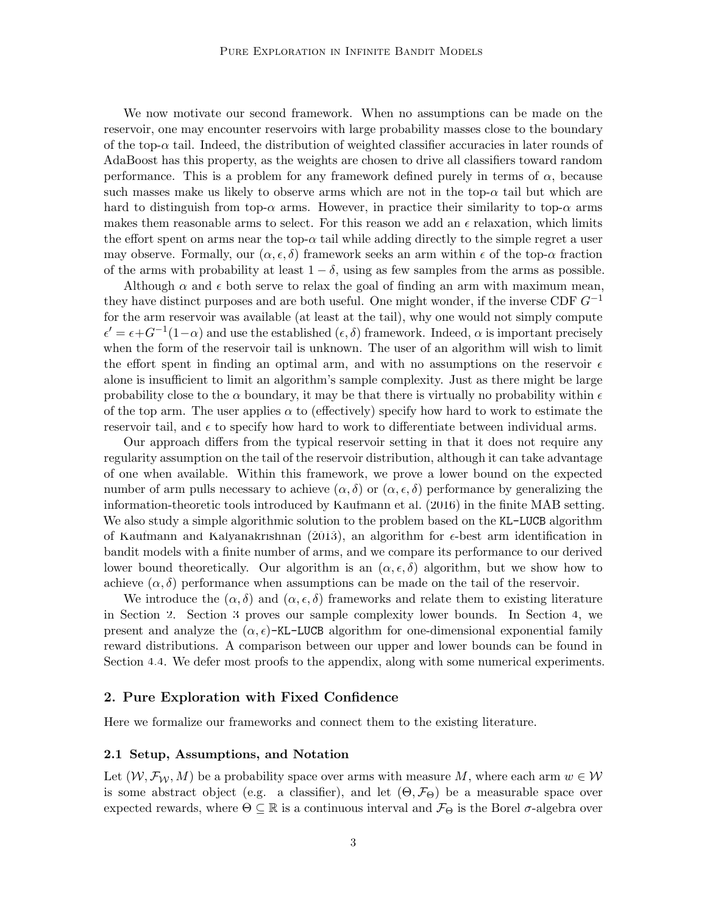We now motivate our second framework. When no assumptions can be made on the reservoir, one may encounter reservoirs with large probability masses close to the boundary of the top- $\alpha$  tail. Indeed, the distribution of weighted classifier accuracies in later rounds of AdaBoost has this property, as the weights are chosen to drive all classifiers toward random performance. This is a problem for any framework defined purely in terms of  $\alpha$ , because such masses make us likely to observe arms which are not in the top- $\alpha$  tail but which are hard to distinguish from top- $\alpha$  arms. However, in practice their similarity to top- $\alpha$  arms makes them reasonable arms to select. For this reason we add an  $\epsilon$  relaxation, which limits the effort spent on arms near the top- $\alpha$  tail while adding directly to the simple regret a user may observe. Formally, our  $(\alpha, \epsilon, \delta)$  framework seeks an arm within  $\epsilon$  of the top- $\alpha$  fraction of the arms with probability at least  $1 - \delta$ , using as few samples from the arms as possible.

Although  $\alpha$  and  $\epsilon$  both serve to relax the goal of finding an arm with maximum mean, they have distinct purposes and are both useful. One might wonder, if the inverse CDF *G−*<sup>1</sup> for the arm reservoir was available (at least at the tail), why one would not simply compute  $\epsilon' = \epsilon + G^{-1}(1-\alpha)$  and use the established  $(\epsilon, \delta)$  framework. Indeed,  $\alpha$  is important precisely when the form of the reservoir tail is unknown. The user of an algorithm will wish to limit the effort spent in finding an optimal arm, and with no assumptions on the reservoir  $\epsilon$ alone is insufficient to limit an algorithm's sample complexity. Just as there might be large probability close to the  $\alpha$  boundary, it may be that there is virtually no probability within  $\epsilon$ of the top arm. The user applies  $\alpha$  to (effectively) specify how hard to work to estimate the reservoir tail, and  $\epsilon$  to specify how hard to work to differentiate between individual arms.

Our approach differs from the typical reservoir setting in that it does not require any regularity assumption on the tail of the reservoir distribution, although it can take advantage of one when available. Within this framework, we prove a lower bound on the expected number of arm pulls necessary to achieve  $(\alpha, \delta)$  or  $(\alpha, \epsilon, \delta)$  performance by generalizing the information-theoretic tools introduced by [Kaufmann et al.](#page-13-3) ([2016\)](#page-13-3) in the finite MAB setting. We also study a simple algorithmic solution to the problem based on the KL-LUCB algorithm of [Kaufmann and Kalyanakrishnan](#page-13-4) [\(2013](#page-13-4)), an algorithm for *ϵ*-best arm identification in bandit models with a finite number of arms, and we compare its performance to our derived lower bound theoretically. Our algorithm is an  $(\alpha, \epsilon, \delta)$  algorithm, but we show how to achieve  $(\alpha, \delta)$  performance when assumptions can be made on the tail of the reservoir.

We introduce the  $(\alpha, \delta)$  and  $(\alpha, \epsilon, \delta)$  frameworks and relate them to existing literature in Section [2](#page-2-0). Section [3](#page-6-0) proves our sample complexity lower bounds. In Section [4,](#page-8-0) we present and analyze the  $(\alpha, \epsilon)$ -KL-LUCB algorithm for one-dimensional exponential family reward distributions. A comparison between our upper and lower bounds can be found in Section [4.4.](#page-10-0) We defer most proofs to the appendix, along with some numerical experiments.

#### <span id="page-2-0"></span>**2. Pure Exploration with Fixed Confidence**

Here we formalize our frameworks and connect them to the existing literature.

#### <span id="page-2-1"></span>**2.1 Setup, Assumptions, and Notation**

Let  $(W, \mathcal{F}_W, M)$  be a probability space over arms with measure M, where each arm  $w \in \mathcal{W}$ is some abstract object (e.g. a classifier), and let  $(\Theta, \mathcal{F}_{\Theta})$  be a measurable space over expected rewards, where  $\Theta \subseteq \mathbb{R}$  is a continuous interval and  $\mathcal{F}_{\Theta}$  is the Borel  $\sigma$ -algebra over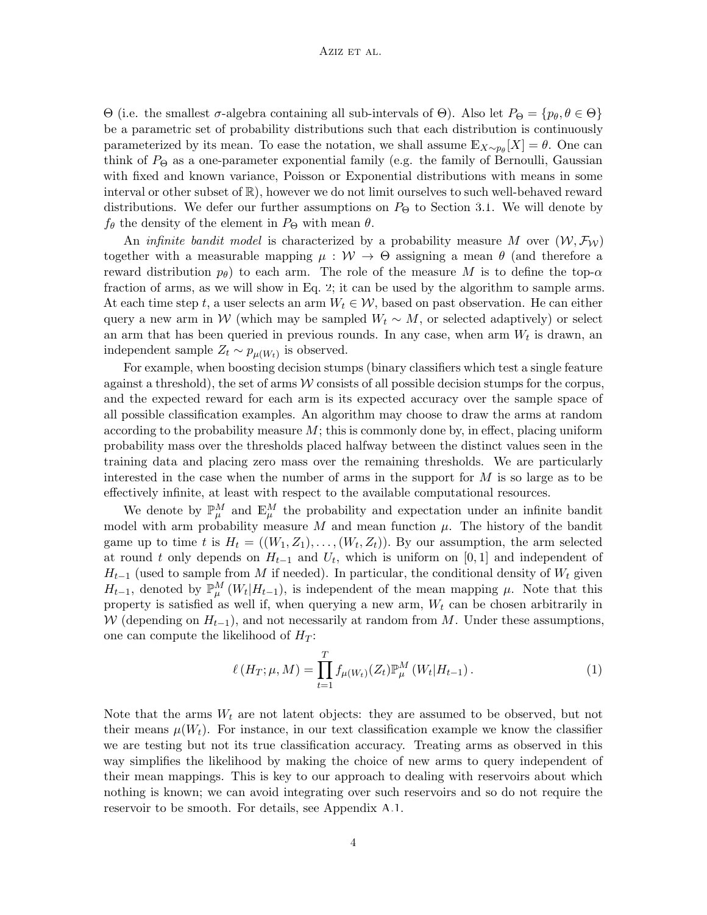Θ (i.e. the smallest *σ*-algebra containing all sub-intervals of Θ). Also let  $P_{\Theta} = \{p_{\theta}, \theta \in \Theta\}$ be a parametric set of probability distributions such that each distribution is continuously parameterized by its mean. To ease the notation, we shall assume  $\mathbb{E}_{X \sim p_{\theta}}[X] = \theta$ . One can think of  $P_{\Theta}$  as a one-parameter exponential family (e.g. the family of Bernoulli, Gaussian with fixed and known variance, Poisson or Exponential distributions with means in some interval or other subset of R), however we do not limit ourselves to such well-behaved reward distributions. We defer our further assumptions on  $P_{\Theta}$  to Section [3.1.](#page-6-1) We will denote by  $f_{\theta}$  the density of the element in  $P_{\Theta}$  with mean  $\theta$ .

An *infinite bandit model* is characterized by a probability measure M over  $(W, \mathcal{F}_W)$ together with a measurable mapping  $\mu : W \to \Theta$  assigning a mean  $\theta$  (and therefore a reward distribution  $p_{\theta}$ ) to each arm. The role of the measure M is to define the top- $\alpha$ fraction of arms, as we will show in Eq. [2](#page-4-0); it can be used by the algorithm to sample arms. At each time step *t*, a user selects an arm  $W_t \in \mathcal{W}$ , based on past observation. He can either query a new arm in *W* (which may be sampled  $W_t \sim M$ , or selected adaptively) or select an arm that has been queried in previous rounds. In any case, when arm  $W_t$  is drawn, an independent sample  $Z_t \sim p_{\mu(W_t)}$  is observed.

For example, when boosting decision stumps (binary classifiers which test a single feature against a threshold), the set of arms  $W$  consists of all possible decision stumps for the corpus, and the expected reward for each arm is its expected accuracy over the sample space of all possible classification examples. An algorithm may choose to draw the arms at random according to the probability measure *M*; this is commonly done by, in effect, placing uniform probability mass over the thresholds placed halfway between the distinct values seen in the training data and placing zero mass over the remaining thresholds. We are particularly interested in the case when the number of arms in the support for *M* is so large as to be effectively infinite, at least with respect to the available computational resources.

We denote by  $\mathbb{P}_{\mu}^{M}$  and  $\mathbb{E}_{\mu}^{M}$  the probability and expectation under an infinite bandit model with arm probability measure  $M$  and mean function  $\mu$ . The history of the bandit game up to time *t* is  $H_t = ((W_1, Z_1), \ldots, (W_t, Z_t))$ . By our assumption, the arm selected at round *t* only depends on  $H_{t-1}$  and  $U_t$ , which is uniform on [0, 1] and independent of  $H_{t-1}$  (used to sample from *M* if needed). In particular, the conditional density of  $W_t$  given *H*<sub>*t*</sub><sup>−1</sup>, denoted by  $\mathbb{P}_{\mu}^{M}(W_t|H_{t-1})$ , is independent of the mean mapping  $\mu$ . Note that this property is satisfied as well if, when querying a new arm, *W<sup>t</sup>* can be chosen arbitrarily in *W* (depending on  $H$ <sup>*t*</sup><sup>*−*1</sub>), and not necessarily at random from *M*. Under these assumptions,</sup> one can compute the likelihood of  $H_T$ :

<span id="page-3-0"></span>
$$
\ell(H_T; \mu, M) = \prod_{t=1}^T f_{\mu(W_t)}(Z_t) \mathbb{P}^M_{\mu}(W_t | H_{t-1}).
$$
\n(1)

Note that the arms  $W_t$  are not latent objects: they are assumed to be observed, but not their means  $\mu(W_t)$ . For instance, in our text classification example we know the classifier we are testing but not its true classification accuracy. Treating arms as observed in this way simplifies the likelihood by making the choice of new arms to query independent of their mean mappings. This is key to our approach to dealing with reservoirs about which nothing is known; we can avoid integrating over such reservoirs and so do not require the reservoir to be smooth. For details, see Appendix [A.1.](#page-14-0)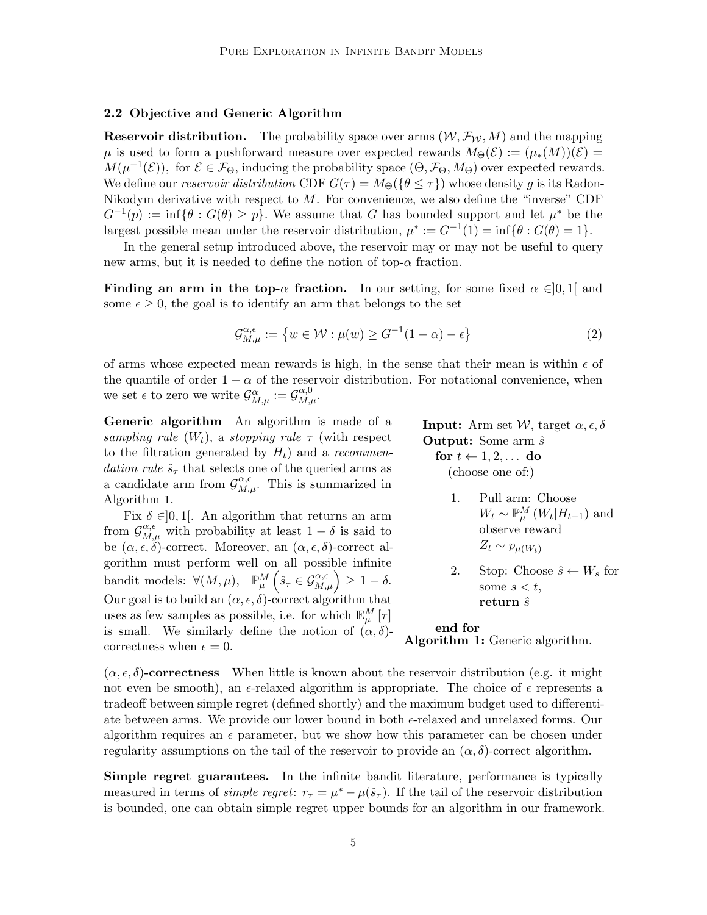#### <span id="page-4-2"></span>**2.2 Objective and Generic Algorithm**

**Reservoir distribution.** The probability space over arms  $(W, \mathcal{F}_W, M)$  and the mapping *µ* is used to form a pushforward measure over expected rewards  $M_{\Theta}(\mathcal{E}) := (\mu_*(M))(\mathcal{E}) =$  $M(\mu^{-1}(\mathcal{E}))$ , for  $\mathcal{E} \in \mathcal{F}_{\Theta}$ , inducing the probability space  $(\Theta, \mathcal{F}_{\Theta}, M_{\Theta})$  over expected rewards. We define our *reservoir distribution* CDF  $G(\tau) = M_{\Theta}(\{\theta \leq \tau\})$  whose density g is its Radon-Nikodym derivative with respect to *M*. For convenience, we also define the "inverse" CDF  $G^{-1}(p) := \inf \{ \theta : G(\theta) \geq p \}.$  We assume that *G* has bounded support and let  $\mu^*$  be the largest possible mean under the reservoir distribution,  $\mu^* := G^{-1}(1) = \inf \{ \theta : G(\theta) = 1 \}.$ 

In the general setup introduced above, the reservoir may or may not be useful to query new arms, but it is needed to define the notion of top- $\alpha$  fraction.

**Finding an arm in the top-** $\alpha$  **fraction.** In our setting, for some fixed  $\alpha \in ]0,1[$  and some  $\epsilon \geq 0$ , the goal is to identify an arm that belongs to the set

$$
\mathcal{G}_{M,\mu}^{\alpha,\epsilon} := \left\{ w \in \mathcal{W} : \mu(w) \ge G^{-1}(1-\alpha) - \epsilon \right\}
$$
 (2)

of arms whose expected mean rewards is high, in the sense that their mean is within  $\epsilon$  of the quantile of order  $1 - \alpha$  of the reservoir distribution. For notational convenience, when we set  $\epsilon$  to zero we write  $\mathcal{G}_{M,\mu}^{\alpha} := \mathcal{G}_{M,\mu}^{\alpha,0}$ .

**Generic algorithm** An algorithm is made of a *sampling rule*  $(W_t)$ , a *stopping rule*  $\tau$  (with respect to the filtration generated by *Ht*) and a *recommendation rule*  $\hat{s}_{\tau}$  that selects one of the queried arms as a candidate arm from  $\mathcal{G}_{M,\mu}^{\alpha,\epsilon}$ . This is summarized in Algorithm [1.](#page-4-1)

Fix  $\delta \in ]0,1[$ . An algorithm that returns an arm from  $\mathcal{G}_{M,\mu}^{\alpha,\epsilon}$  with probability at least  $1-\delta$  is said to be  $(\alpha, \epsilon, \delta)$ -correct. Moreover, an  $(\alpha, \epsilon, \delta)$ -correct algorithm must perform well on all possible infinite  $\text{bandit models: } \forall (M, \mu), \quad \mathbb{P}_{\mu}^{M} \left( \hat{s}_{\tau} \in \mathcal{G}_{M, \mu}^{\alpha, \epsilon} \right) \geq 1 - \delta.$ Our goal is to build an  $(\alpha, \epsilon, \delta)$ -correct algorithm that uses as few samples as possible, i.e. for which  $\mathbb{E}_{\mu}^{M}[\tau]$ is small. We similarly define the notion of  $(\alpha, \delta)$ correctness when  $\epsilon = 0$ .

<span id="page-4-1"></span><span id="page-4-0"></span>**Input:** Arm set  $W$ , target  $\alpha$ ,  $\epsilon$ ,  $\delta$ **Output:** Some arm  $\hat{s}$ 

|  | for $t \leftarrow 1, 2, \ldots$ do |  |
|--|------------------------------------|--|
|  | (choose one of:)                   |  |

- 1. Pull arm: Choose  $W_t \sim \mathbb{P}_{\mu}^M (W_t | H_{t-1})$  and observe reward  $Z_t \sim p_{\mu(W_t)}$
- 2. Stop: Choose  $\hat{s} \leftarrow W_s$  for some  $s < t$ , **return** *s*ˆ

### **end for**

**Algorithm 1:** Generic algorithm.

 $(\alpha, \epsilon, \delta)$ **-correctness** When little is known about the reservoir distribution (e.g. it might not even be smooth), an  $\epsilon$ -relaxed algorithm is appropriate. The choice of  $\epsilon$  represents a tradeoff between simple regret (defined shortly) and the maximum budget used to differentiate between arms. We provide our lower bound in both *ϵ*-relaxed and unrelaxed forms. Our algorithm requires an  $\epsilon$  parameter, but we show how this parameter can be chosen under regularity assumptions on the tail of the reservoir to provide an  $(\alpha, \delta)$ -correct algorithm.

**Simple regret guarantees.** In the infinite bandit literature, performance is typically measured in terms of *simple regret*:  $r_{\tau} = \mu^* - \mu(\hat{s}_{\tau})$ . If the tail of the reservoir distribution is bounded, one can obtain simple regret upper bounds for an algorithm in our framework.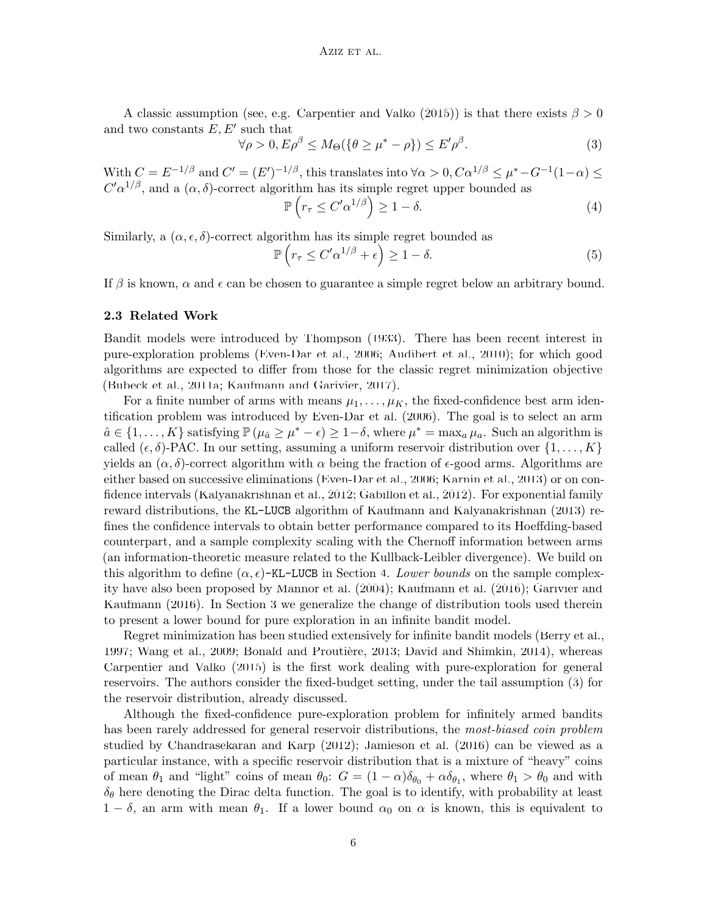A classic assumption (see, e.g. [Carpentier and Valko](#page-12-9) ([2015\)](#page-12-9)) is that there exists  $\beta > 0$ and two constants *E, E′* such that

$$
\forall \rho > 0, E\rho^{\beta} \le M_{\Theta}(\{\theta \ge \mu^* - \rho\}) \le E'\rho^{\beta}.
$$
 (3)

With  $C = E^{-1/\beta}$  and  $C' = (E')^{-1/\beta}$ , this translates into  $\forall \alpha > 0, C\alpha^{1/\beta} \leq \mu^* - G^{-1}(1-\alpha) \leq$  $C' \alpha^{1/\beta}$ , and a  $(\alpha, \delta)$ -correct algorithm has its simple regret upper bounded as

<span id="page-5-0"></span>
$$
\mathbb{P}\left(r_{\tau} \le C'\alpha^{1/\beta}\right) \ge 1 - \delta. \tag{4}
$$

Similarly, a  $(\alpha, \epsilon, \delta)$ -correct algorithm has its simple regret bounded as

$$
\mathbb{P}\left(r_{\tau} \le C'\alpha^{1/\beta} + \epsilon\right) \ge 1 - \delta. \tag{5}
$$

If  $\beta$  is known,  $\alpha$  and  $\epsilon$  can be chosen to guarantee a simple regret below an arbitrary bound.

#### **2.3 Related Work**

Bandit models were introduced by [Thompson](#page-13-5) [\(1933](#page-13-5)). There has been recent interest in pure-exploration problems ([Even-Dar et al.](#page-12-10), [2006;](#page-12-10) [Audibert et al.](#page-12-11), [2010\)](#page-12-11); for which good algorithms are expected to differ from those for the classic regret minimization objective ([Bubeck et al.](#page-12-12), [2011a](#page-12-12); [Kaufmann and Garivier,](#page-13-6) [2017](#page-13-6)).

For a finite number of arms with means  $\mu_1, \ldots, \mu_K$ , the fixed-confidence best arm identification problem was introduced by [Even-Dar et al.](#page-12-10) [\(2006](#page-12-10)). The goal is to select an arm  $\hat{a} \in \{1, \ldots, K\}$  satisfying  $\mathbb{P}(\mu_{\hat{a}} \geq \mu^* - \epsilon) \geq 1 - \delta$ , where  $\mu^* = \max_a \mu_a$ . Such an algorithm is called  $(\epsilon, \delta)$ -PAC. In our setting, assuming a uniform reservoir distribution over  $\{1, \ldots, K\}$ yields an  $(\alpha, \delta)$ -correct algorithm with  $\alpha$  being the fraction of  $\epsilon$ -good arms. Algorithms are either based on successive eliminations ([Even-Dar et al.,](#page-12-10) [2006](#page-12-10); [Karnin et al.](#page-13-7), [2013](#page-13-7)) or on confidence intervals [\(Kalyanakrishnan et al.](#page-13-8), [2012;](#page-13-8) [Gabillon et al.,](#page-13-9) [2012](#page-13-9)). For exponential family reward distributions, the KL-LUCB algorithm of [Kaufmann and Kalyanakrishnan](#page-13-4) [\(2013](#page-13-4)) refines the confidence intervals to obtain better performance compared to its Hoeffding-based counterpart, and a sample complexity scaling with the Chernoff information between arms (an information-theoretic measure related to the Kullback-Leibler divergence). We build on this algorithm to define  $(\alpha, \epsilon)$ -KL-LUCB in Section [4.](#page-8-0) *Lower bounds* on the sample complexity have also been proposed by [Mannor et al.](#page-13-10) ([2004\)](#page-13-10); [Kaufmann et al.](#page-13-3) [\(2016](#page-13-3)); [Garivier and](#page-13-11) [Kaufmann](#page-13-11) ([2016\)](#page-13-11). In Section [3](#page-6-0) we generalize the change of distribution tools used therein to present a lower bound for pure exploration in an infinite bandit model.

Regret minimization has been studied extensively for infinite bandit models ([Berry et al.](#page-12-6), [1997;](#page-12-6) [Wang et al.,](#page-13-2) [2009;](#page-13-2) Bonald and Proutière, [2013;](#page-12-7) [David and Shimkin,](#page-12-8) [2014\)](#page-12-8), whereas [Carpentier and Valko](#page-12-9) ([2015\)](#page-12-9) is the first work dealing with pure-exploration for general reservoirs. The authors consider the fixed-budget setting, under the tail assumption ([3\)](#page-5-0) for the reservoir distribution, already discussed.

Although the fixed-confidence pure-exploration problem for infinitely armed bandits has been rarely addressed for general reservoir distributions, the *most-biased coin problem* studied by [Chandrasekaran and Karp](#page-12-13) ([2012\)](#page-12-13); [Jamieson et al.](#page-13-12) [\(2016\)](#page-13-12) can be viewed as a particular instance, with a specific reservoir distribution that is a mixture of "heavy" coins of mean  $\theta_1$  and "light" coins of mean  $\theta_0$ :  $G = (1 - \alpha)\delta_{\theta_0} + \alpha \delta_{\theta_1}$ , where  $\theta_1 > \theta_0$  and with  $\delta_{\theta}$  here denoting the Dirac delta function. The goal is to identify, with probability at least  $1 - \delta$ , an arm with mean  $\theta_1$ . If a lower bound  $\alpha_0$  on  $\alpha$  is known, this is equivalent to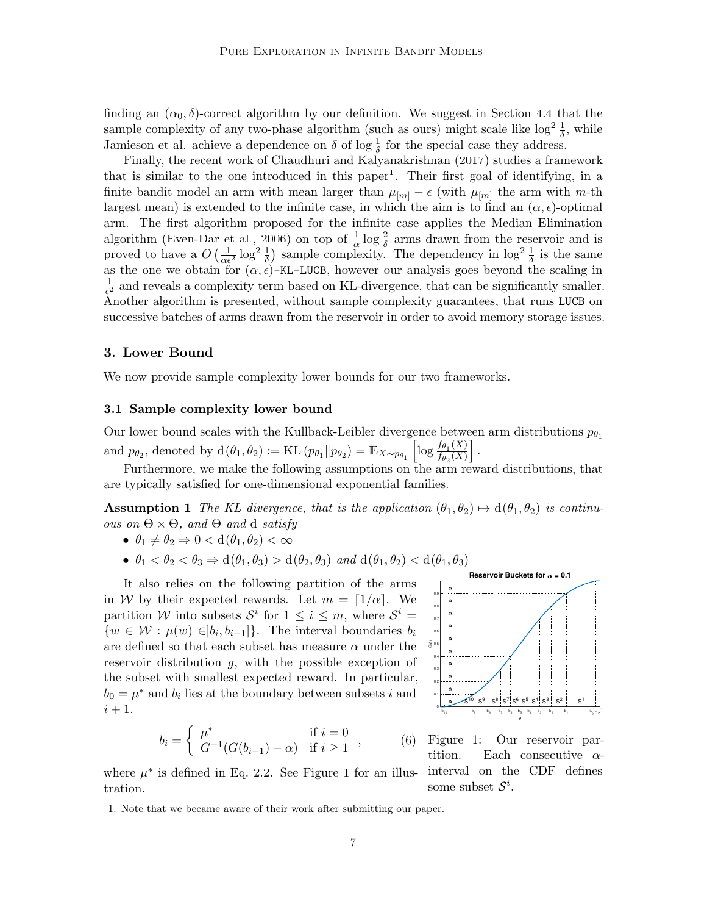finding an  $(\alpha_0, \delta)$ -correct algorithm by our definition. We suggest in Section [4.4](#page-10-0) that the sample complexity of any two-phase algorithm (such as ours) might scale like  $\log^2 \frac{1}{\delta}$ , while Jamieson et al. achieve a dependence on  $\delta$  of log  $\frac{1}{\delta}$  for the special case they address.

Finally, the recent work of [Chaudhuri and Kalyanakrishnan](#page-12-14) ([2017\)](#page-12-14) studies a framework that is similar to the one introduced in this paper<sup>[1](#page-6-2)</sup>. Their first goal of identifying, in a finite bandit model an arm with mean larger than  $\mu_{[m]} - \epsilon$  (with  $\mu_{[m]}$  the arm with *m*-th largest mean) is extended to the infinite case, in which the aim is to find an  $(\alpha, \epsilon)$ -optimal arm. The first algorithm proposed for the infinite case applies the Median Elimination algorithm ([Even-Dar et al.,](#page-12-10) [2006](#page-12-10)) on top of  $\frac{1}{\alpha} \log \frac{2}{\delta}$  arms drawn from the reservoir and is proved to have a  $O\left(\frac{1}{\alpha \epsilon^2} \log^2 \frac{1}{\delta}\right)$  sample complexity. The dependency in  $\log^2 \frac{1}{\delta}$  is the same as the one we obtain for  $(\alpha, \epsilon)$ -KL-LUCB, however our analysis goes beyond the scaling in 1  $\frac{1}{\epsilon^2}$  and reveals a complexity term based on KL-divergence, that can be significantly smaller. Another algorithm is presented, without sample complexity guarantees, that runs LUCB on successive batches of arms drawn from the reservoir in order to avoid memory storage issues.

#### <span id="page-6-0"></span>**3. Lower Bound**

We now provide sample complexity lower bounds for our two frameworks.

#### <span id="page-6-1"></span>**3.1 Sample complexity lower bound**

Our lower bound scales with the Kullback-Leibler divergence between arm distributions  $p_{\theta_1}$ and  $p_{\theta_2}$ , denoted by  $d(\theta_1, \theta_2) := KL(p_{\theta_1} || p_{\theta_2}) = E_{X \sim p_{\theta_1}} \left[ \log \frac{f_{\theta_1}(X)}{f_{\theta_2}(X)} \right]$  $\frac{f_{\theta_1}(X)}{f_{\theta_2}(X)}$ .

Furthermore, we make the following assumptions on the arm reward distributions, that are typically satisfied for one-dimensional exponential families.

**Assumption 1** *The KL divergence, that is the application*  $(\theta_1, \theta_2) \mapsto d(\theta_1, \theta_2)$  *is continuous on* Θ *×* Θ*, and* Θ *and* d *satisfy*

- $\theta_1 \neq \theta_2 \Rightarrow 0 < d(\theta_1, \theta_2) < \infty$
- $\theta_1 < \theta_2 < \theta_3 \Rightarrow d(\theta_1, \theta_3) > d(\theta_2, \theta_3)$  *and*  $d(\theta_1, \theta_2) < d(\theta_1, \theta_3)$

It also relies on the following partition of the arms in *W* by their expected rewards. Let  $m = \lfloor 1/\alpha \rfloor$ . We partition *W* into subsets  $S^i$  for  $1 \leq i \leq m$ , where  $S^i$  =  $\{w \in \mathcal{W} : \mu(w) \in ]b_i, b_{i-1}]\}$ . The interval boundaries  $b_i$ are defined so that each subset has measure  $\alpha$  under the reservoir distribution *g*, with the possible exception of the subset with smallest expected reward. In particular,  $b_0 = \mu^*$  and  $b_i$  lies at the boundary between subsets *i* and  $i+1$ .

$$
b_i = \begin{cases} \mu^* & \text{if } i = 0 \\ G^{-1}(G(b_{i-1}) - \alpha) & \text{if } i \ge 1 \end{cases}
$$

<span id="page-6-3"></span>

Figure 1: Our reservoir partition. Each consecutive *α*some subset  $S^i$ .

where  $\mu^*$  is defined in Eq. [2.2.](#page-4-2) See Figure [1](#page-6-3) for an illus- interval on the CDF defines tration.

*,* (6)

<span id="page-6-2"></span><sup>1.</sup> Note that we became aware of their work after submitting our paper.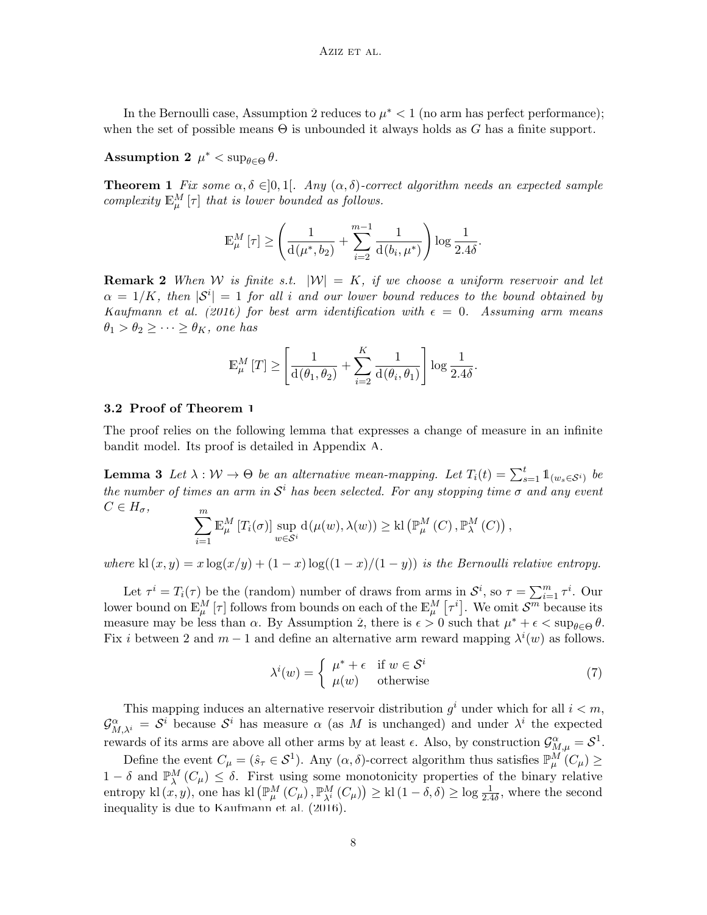In the Bernoulli case, Assumption [2](#page-7-0) reduces to  $\mu^*$  < 1 (no arm has perfect performance); when the set of possible means  $\Theta$  is unbounded it always holds as *G* has a finite support.

<span id="page-7-0"></span> $\text{Assumption 2 } \mu^* < \sup_{\theta \in \Theta} \theta.$ 

<span id="page-7-1"></span>**Theorem 1** *Fix some*  $\alpha, \delta \in ]0,1[$ *. Any*  $(\alpha, \delta)$ -correct algorithm needs an expected sample *complexity*  $\mathbb{E}_{\mu}^{M}[\tau]$  *that is lower bounded as follows.* 

$$
\mathbb{E}_{\mu}^{M}\left[\tau\right] \geq\left(\frac{1}{\mathrm{d}\left(\mu^{*},b_{2}\right)}+\sum_{i=2}^{m-1}\frac{1}{\mathrm{d}\left(b_{i},\mu^{*}\right)}\right)\log\frac{1}{2.4\delta}.
$$

**Remark 2** *When W is finite s.t.*  $|W| = K$ *, if we choose a uniform reservoir and let*  $\alpha = 1/K$ , then  $|S^i| = 1$  for all *i* and our lower bound reduces to the bound obtained by *[Kaufmann et al.](#page-13-3)* [\(2016\)](#page-13-3) *for best arm identification with*  $\epsilon = 0$ *. Assuming arm means*  $\theta_1 > \theta_2 \geq \cdots \geq \theta_K$ , one has

$$
\mathbb{E}_{\mu}^{M}[T] \ge \left[ \frac{1}{d(\theta_1, \theta_2)} + \sum_{i=2}^{K} \frac{1}{d(\theta_i, \theta_1)} \right] \log \frac{1}{2.4\delta}.
$$

#### **3.2 Proof of Theorem [1](#page-7-1)**

The proof relies on the following lemma that expresses a change of measure in an infinite bandit model. Its proof is detailed in Appendix [A.](#page-0-0)

<span id="page-7-2"></span>**Lemma 3** *Let*  $\lambda : \mathcal{W} \to \Theta$  *be an alternative mean-mapping. Let*  $T_i(t) = \sum_{s=1}^t \mathbb{1}_{(w_s \in \mathcal{S}^i)}$  *be the number of times an arm in*  $S<sup>i</sup>$  *has been selected. For any stopping time*  $\sigma$  *and any event*  $C \in H_{\sigma}$ *,* ∑*m*

$$
\sum_{i=1}^{\infty} \mathbb{E}_{\mu}^{M} \left[ T_{i}(\sigma) \right] \sup_{w \in \mathcal{S}^{i}} d(\mu(w), \lambda(w)) \geq \text{kl} \left( \mathbb{P}_{\mu}^{M} \left( C \right), \mathbb{P}_{\lambda}^{M} \left( C \right) \right),
$$

*where* kl  $(x, y) = x \log(x/y) + (1 - x) \log((1 - x)/(1 - y))$  *is the Bernoulli relative entropy.* 

Let  $\tau^i = T_i(\tau)$  be the (random) number of draws from arms in  $\mathcal{S}^i$ , so  $\tau = \sum_{i=1}^m \tau^i$ . Our lower bound on  $\mathbb{E}_{\mu}^{M}[\tau]$  follows from bounds on each of the  $\mathbb{E}_{\mu}^{M}[\tau^{i}]$ . We omit  $\mathcal{S}^{m}$  because its measure may be less than *α*. By Assumption [2,](#page-7-0) there is  $\epsilon > 0$  such that  $\mu^* + \epsilon < \sup_{\theta \in \Theta} \theta$ . Fix *i* between 2 and  $m-1$  and define an alternative arm reward mapping  $\lambda^{i}(w)$  as follows.

$$
\lambda^{i}(w) = \begin{cases} \mu^{*} + \epsilon & \text{if } w \in \mathcal{S}^{i} \\ \mu(w) & \text{otherwise} \end{cases}
$$
 (7)

This mapping induces an alternative reservoir distribution  $g^i$  under which for all  $i < m$ ,  $\mathcal{G}_{M,\lambda^i}^{\alpha} = \mathcal{S}^i$  because  $\mathcal{S}^i$  has measure  $\alpha$  (as M is unchanged) and under  $\lambda^i$  the expected rewards of its arms are above all other arms by at least  $\epsilon$ . Also, by construction  $\mathcal{G}_{M,\mu}^{\alpha} = \mathcal{S}^1$ .

Define the event  $C_{\mu} = (\hat{s}_{\tau} \in S^1)$ . Any  $(\alpha, \delta)$ -correct algorithm thus satisfies  $\mathbb{P}_{\mu}^M(C_{\mu}) \geq$ 1 *− δ* and  $\mathbb{P}_{\lambda}^{M}(C_{\mu}) \leq \delta$ . First using some monotonicity properties of the binary relative entropy kl $(x, y)$ , one has kl $(\mathbb{P}_{\mu}^{M}(C_{\mu}), \mathbb{P}_{\lambda^{i}}^{M}(C_{\mu})) \geq$  kl $(1 - \delta, \delta) \geq \log \frac{1}{2.4\delta}$ , where the second inequality is due to [Kaufmann et al.](#page-13-3) [\(2016](#page-13-3)).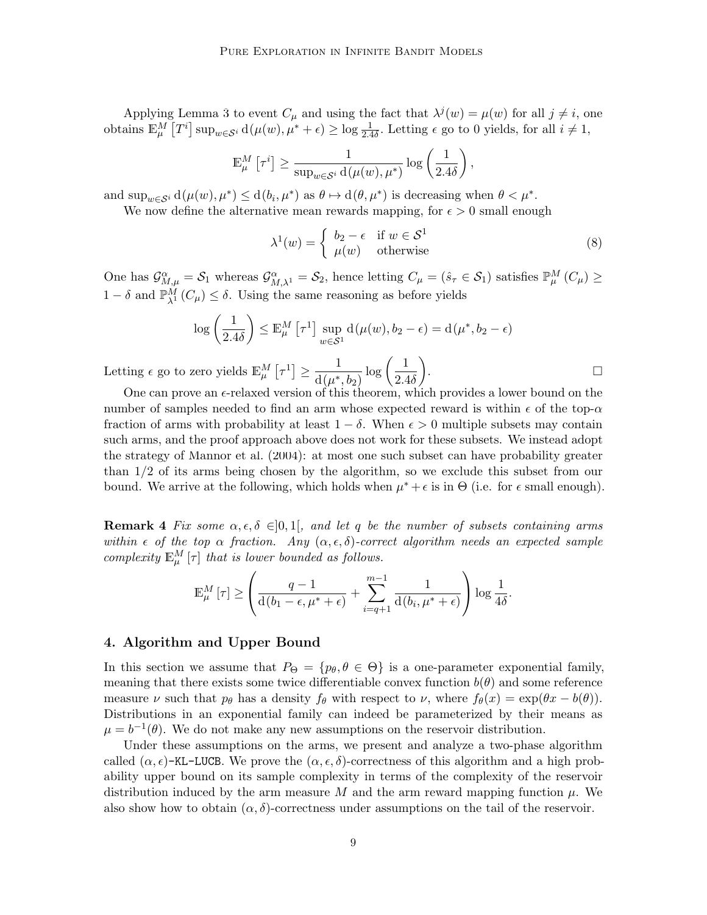Applying Lemma [3](#page-7-2) to event  $C_{\mu}$  and using the fact that  $\lambda^{j}(w) = \mu(w)$  for all  $j \neq i$ , one obtains  $\mathbb{E}_{\mu}^{M}[T^{i}]$  sup $_{w\in S^{i}}$  d $(\mu(w), \mu^{*} + \epsilon) \ge \log \frac{1}{2.4\delta}$ . Letting  $\epsilon$  go to 0 yields, for all  $i \ne 1$ ,

$$
\mathbb{E}_{\mu}^{M}\left[\tau^{i}\right] \geq \frac{1}{\sup_{w \in \mathcal{S}^{i}} d(\mu(w), \mu^{*})} \log\left(\frac{1}{2.4\delta}\right),
$$

and  $\sup_{w \in S^i} d(\mu(w), \mu^*) \leq d(b_i, \mu^*)$  as  $\theta \mapsto d(\theta, \mu^*)$  is decreasing when  $\theta < \mu^*$ .

We now define the alternative mean rewards mapping, for  $\epsilon > 0$  small enough

$$
\lambda^{1}(w) = \begin{cases} b_{2} - \epsilon & \text{if } w \in \mathcal{S}^{1} \\ \mu(w) & \text{otherwise} \end{cases}
$$
 (8)

One has  $\mathcal{G}_{M,\mu}^{\alpha} = \mathcal{S}_1$  whereas  $\mathcal{G}_{M,\lambda^1}^{\alpha} = \mathcal{S}_2$ , hence letting  $C_{\mu} = (\hat{s}_{\tau} \in \mathcal{S}_1)$  satisfies  $\mathbb{P}_{\mu}^M(C_{\mu}) \ge$ 1 *− δ* and P*<sup>M</sup> <sup>λ</sup>*<sup>1</sup> (*Cµ*) *≤ δ*. Using the same reasoning as before yields

$$
\log\left(\frac{1}{2.4\delta}\right) \le \mathbb{E}_{\mu}^{M} \left[\tau^{1}\right] \sup_{w \in \mathcal{S}^{1}} d(\mu(w), b_{2} - \epsilon) = d(\mu^{*}, b_{2} - \epsilon)
$$

Letting  $\epsilon$  go to zero yields  $\mathbb{E}_{\mu}^{M}[\tau^{1}] \geq \frac{1}{d(n^{*})}$  $d(\mu^*, b_2)$  $\log\left(\frac{1}{2}\right)$ 2*.*4*δ*  $\setminus$ . □

One can prove an *ϵ*-relaxed version of this theorem, which provides a lower bound on the number of samples needed to find an arm whose expected reward is within  $\epsilon$  of the top- $\alpha$ fraction of arms with probability at least  $1 - \delta$ . When  $\epsilon > 0$  multiple subsets may contain such arms, and the proof approach above does not work for these subsets. We instead adopt the strategy of [Mannor et al.](#page-13-10) [\(2004](#page-13-10)): at most one such subset can have probability greater than 1*/*2 of its arms being chosen by the algorithm, so we exclude this subset from our bound. We arrive at the following, which holds when  $\mu^* + \epsilon$  is in  $\Theta$  (i.e. for  $\epsilon$  small enough).

**Remark 4** *Fix some*  $\alpha, \epsilon, \delta \in ]0,1[$ , and let q be the number of subsets containing arms *within*  $\epsilon$  *of the top*  $\alpha$  *fraction.* Any  $(\alpha, \epsilon, \delta)$ -correct algorithm needs an expected sample *complexity*  $\mathbb{E}_{\mu}^{M}$  [*τ*] *that is lower bounded as follows.* 

$$
\mathbb{E}_{\mu}^{M}[\tau] \geq \left(\frac{q-1}{d(b_{1}-\epsilon,\mu^{*}+\epsilon)}+\sum_{i=q+1}^{m-1}\frac{1}{d(b_{i},\mu^{*}+\epsilon)}\right)\log\frac{1}{4\delta}.
$$

#### <span id="page-8-0"></span>**4. Algorithm and Upper Bound**

In this section we assume that  $P_{\Theta} = \{p_{\theta}, \theta \in \Theta\}$  is a one-parameter exponential family, meaning that there exists some twice differentiable convex function  $b(\theta)$  and some reference measure *ν* such that  $p_{\theta}$  has a density  $f_{\theta}$  with respect to *ν*, where  $f_{\theta}(x) = \exp(\theta x - b(\theta))$ . Distributions in an exponential family can indeed be parameterized by their means as  $\mu = b^{-1}(\theta)$ . We do not make any new assumptions on the reservoir distribution.

Under these assumptions on the arms, we present and analyze a two-phase algorithm called  $(\alpha, \epsilon)$ -KL-LUCB. We prove the  $(\alpha, \epsilon, \delta)$ -correctness of this algorithm and a high probability upper bound on its sample complexity in terms of the complexity of the reservoir distribution induced by the arm measure M and the arm reward mapping function  $\mu$ . We also show how to obtain  $(\alpha, \delta)$ -correctness under assumptions on the tail of the reservoir.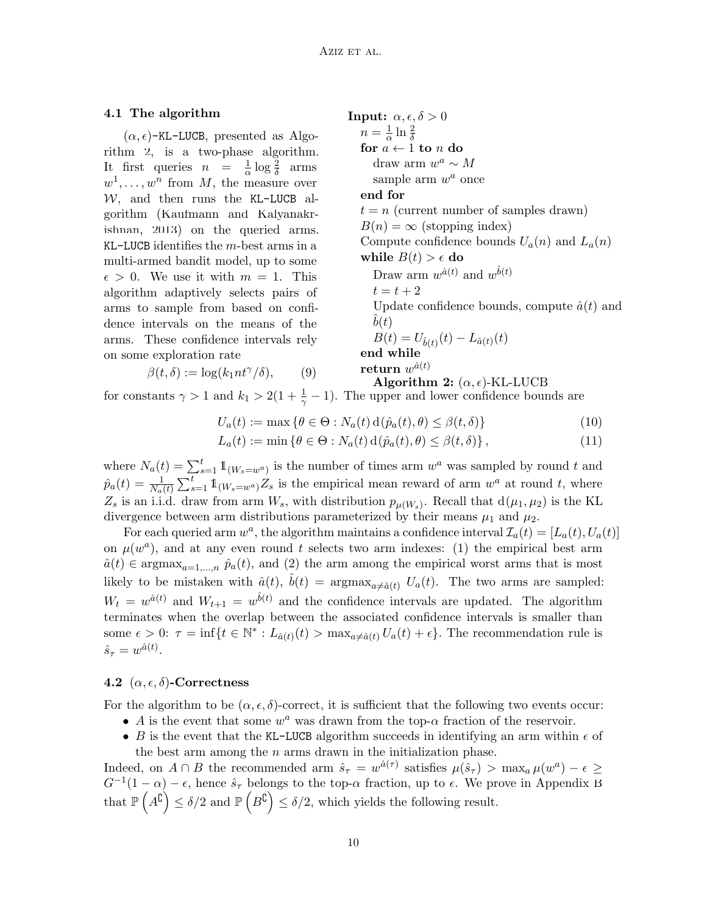# **4.1** The algorithm **Input:**  $\alpha, \epsilon, \delta > 0$

 $(\alpha, \epsilon)$ -KL-LUCB, presented as Algorithm [2](#page-9-0), is a two-phase algorithm. It first queries  $n = \frac{1}{0}$  $\frac{1}{\alpha}$  log  $\frac{2}{\delta}$  arms  $w^1, \ldots, w^n$  from *M*, the measure over  $W$ , and then runs the KL-LUCB algorithm ([Kaufmann and Kalyanakr](#page-13-4)[ishnan,](#page-13-4) [2013\)](#page-13-4) on the queried arms. KL-LUCB identifies the *m*-best arms in a multi-armed bandit model, up to some  $\epsilon > 0$ . We use it with  $m = 1$ . This algorithm adaptively selects pairs of arms to sample from based on confidence intervals on the means of the arms. These confidence intervals rely on some exploration rate

$$
\beta(t,\delta) := \log(k_1 nt^\gamma/\delta), \qquad (9)
$$

<span id="page-9-0"></span> $n=\frac{1}{2}$  $\frac{1}{\alpha}$  ln  $\frac{2}{\delta}$ **for**  $a \leftarrow 1$  **to**  $n$  **do** draw arm  $w^a \sim M$ sample arm  $w^a$  once **end for**  $t = n$  (current number of samples drawn)  $B(n) = \infty$  (stopping index) Compute confidence bounds  $U_a(n)$  and  $L_a(n)$ **while**  $B(t) > \epsilon$  **do** Draw arm  $w^{\hat{a}(t)}$  and  $w^{\hat{b}(t)}$  $t = t + 2$ Update confidence bounds, compute  $\hat{a}(t)$  and  $b(t)$  $B(t) = U_{\hat{b}(t)}(t) - L_{\hat{a}(t)}(t)$ **end while**  ${\bf return}\,\,w^{\hat{a}(t)}$ **Algorithm 2:**  $(\alpha, \epsilon)$ -KL-LUCB

for constants  $\gamma > 1$  and  $k_1 > 2(1 + \frac{1}{\gamma} - 1)$ . The upper and lower confidence bounds are

<span id="page-9-1"></span>
$$
U_a(t) := \max \left\{ \theta \in \Theta : N_a(t) \operatorname{d}(\hat{p}_a(t), \theta) \le \beta(t, \delta) \right\} \tag{10}
$$

$$
L_a(t) := \min \left\{ \theta \in \Theta : N_a(t) \operatorname{d}(\hat{p}_a(t), \theta) \le \beta(t, \delta) \right\},\tag{11}
$$

where  $N_a(t) = \sum_{s=1}^t \mathbb{1}_{\{W_s=w^a\}}$  is the number of times arm  $w^a$  was sampled by round *t* and  $\hat{p}_a(t) = \frac{1}{N_a(t)} \sum_{s=1}^t \mathbb{1}_{\{W_s=w^a\}} Z_s$  is the empirical mean reward of arm  $w^a$  at round *t*, where  $Z_s$  is an i.i.d. draw from arm  $W_s$ , with distribution  $p_{\mu}(W_s)$ . Recall that  $d(\mu_1, \mu_2)$  is the KL divergence between arm distributions parameterized by their means  $\mu_1$  and  $\mu_2$ .

For each queried arm  $w^a$ , the algorithm maintains a confidence interval  $\mathcal{I}_a(t) = [L_a(t), U_a(t)]$ on  $\mu(w^a)$ , and at any even round *t* selects two arm indexes: (1) the empirical best arm  $\hat{a}(t) \in \text{argmax}_{a=1,\dots,n}$   $\hat{p}_a(t)$ , and (2) the arm among the empirical worst arms that is most likely to be mistaken with  $\hat{a}(t)$ ,  $\hat{b}(t) = \text{argmax}_{a \neq \hat{a}(t)} U_a(t)$ . The two arms are sampled:  $W_t = w^{\hat{a}(t)}$  and  $W_{t+1} = w^{\hat{b}(t)}$  and the confidence intervals are updated. The algorithm terminates when the overlap between the associated confidence intervals is smaller than some  $\epsilon > 0$ :  $\tau = \inf\{t \in \mathbb{N}^* : L_{\hat{a}(t)}(t) > \max_{a \neq \hat{a}(t)} U_a(t) + \epsilon\}.$  The recommendation rule is  $\hat{s}_{\tau} = w^{\hat{a}(t)}$ .

#### <span id="page-9-3"></span>**4.2**  $(\alpha, \epsilon, \delta)$ -Correctness

For the algorithm to be  $(\alpha, \epsilon, \delta)$ -correct, it is sufficient that the following two events occur:

- *A* is the event that some  $w^a$  was drawn from the top- $\alpha$  fraction of the reservoir.
- <span id="page-9-2"></span>• *B* is the event that the KL-LUCB algorithm succeeds in identifying an arm within  $\epsilon$  of the best arm among the *n* arms drawn in the initialization phase.

Indeed, on  $A \cap B$  the recommended arm  $\hat{s}_{\tau} = w^{\hat{a}(\tau)}$  satisfies  $\mu(\hat{s}_{\tau}) > \max_{a} \mu(w^a) - \epsilon \geq$  $G^{-1}(1-\alpha) - \epsilon$ , hence  $\hat{s}_{\tau}$  belongs to the top- $\alpha$  fraction, up to  $\epsilon$ . We prove in Appendix [B](#page-2-0) that  $\mathbb{P}\left(A^{\complement}\right) \leq \delta/2$  and  $\mathbb{P}\left(B^{\complement}\right) \leq \delta/2$ , which yields the following result.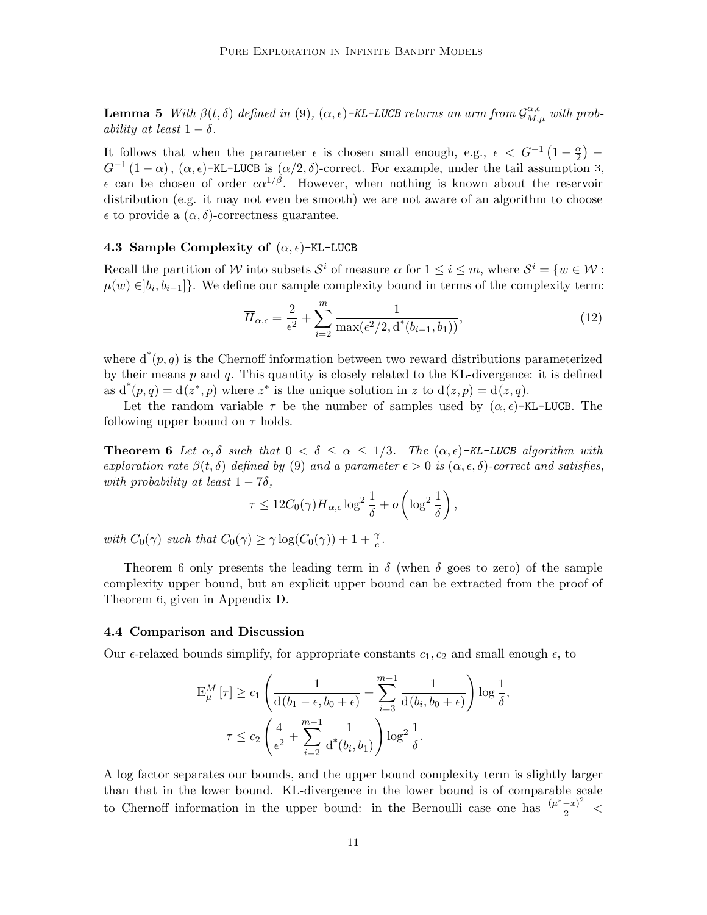**Lemma 5** *With*  $\beta(t, \delta)$  *defined in* ([9](#page-9-1))*,* ( $\alpha, \epsilon$ )-KL-LUCB returns an arm from  $\mathcal{G}_{M,\mu}^{\alpha,\epsilon}$  with prob*ability at least*  $1 - \delta$ *.* 

It follows that when the parameter  $\epsilon$  is chosen small enough, e.g.,  $\epsilon < G^{-1}(1-\frac{\alpha}{2})$ 2 ) *−*  $G^{-1}(1-\alpha)$ ,  $(\alpha,\epsilon)$ -KL-LUCB is  $(\alpha/2,\delta)$ -correct. For example, under the tail assumption [3](#page-5-0),  $\epsilon$  can be chosen of order  $c\alpha^{1/\beta}$ . However, when nothing is known about the reservoir distribution (e.g. it may not even be smooth) we are not aware of an algorithm to choose  $\epsilon$  to provide a  $(\alpha, \delta)$ -correctness guarantee.

#### **4.3 Sample Complexity of** (*α, ϵ*)-KL-LUCB

Recall the partition of *W* into subsets  $S^i$  of measure  $\alpha$  for  $1 \leq i \leq m$ , where  $S^i = \{w \in \mathcal{W}$ :  $\mu(w) ∈ ]b_i, b_{i-1}]$ }. We define our sample complexity bound in terms of the complexity term:

$$
\overline{H}_{\alpha,\epsilon} = \frac{2}{\epsilon^2} + \sum_{i=2}^{m} \frac{1}{\max(\epsilon^2/2, \mathrm{d}^*(b_{i-1}, b_1))},\tag{12}
$$

where  $d^*(p, q)$  is the Chernoff information between two reward distributions parameterized by their means *p* and *q*. This quantity is closely related to the KL-divergence: it is defined as  $d^*(p,q) = d(z^*,p)$  where  $z^*$  is the unique solution in z to  $d(z,p) = d(z,q)$ .

Let the random variable  $\tau$  be the number of samples used by  $(\alpha, \epsilon)$ -KL-LUCB. The following upper bound on *τ* holds.

<span id="page-10-1"></span>**Theorem 6** *Let*  $\alpha, \delta$  *such that*  $0 < \delta \leq \alpha \leq 1/3$ *. The*  $(\alpha, \epsilon)$ -KL-LUCB algorithm with *exploration rate β*(*t, δ*) *defined by* ([9](#page-9-1)) *and a parameter ϵ >* 0 *is* (*α, ϵ, δ*)*-correct and satisfies, with probability at least*  $1 - 7\delta$ *,* 

$$
\tau \leq 12C_0(\gamma)\overline{H}_{\alpha,\epsilon}\log^2\frac{1}{\delta} + o\left(\log^2\frac{1}{\delta}\right),\,
$$

*with*  $C_0(\gamma)$  *such that*  $C_0(\gamma) \geq \gamma \log(C_0(\gamma)) + 1 + \frac{\gamma}{e}$ .

Theorem [6](#page-10-1) only presents the leading term in  $\delta$  (when  $\delta$  goes to zero) of the sample complexity upper bound, but an explicit upper bound can be extracted from the proof of Theorem [6](#page-10-1), given in Appendix [D](#page-8-0).

#### <span id="page-10-0"></span>**4.4 Comparison and Discussion**

Our  $\epsilon$ -relaxed bounds simplify, for appropriate constants  $c_1, c_2$  and small enough  $\epsilon$ , to

$$
\mathbb{E}_{\mu}^{M} \left[ \tau \right] \geq c_1 \left( \frac{1}{d(b_1 - \epsilon, b_0 + \epsilon)} + \sum_{i=3}^{m-1} \frac{1}{d(b_i, b_0 + \epsilon)} \right) \log \frac{1}{\delta},
$$
  

$$
\tau \leq c_2 \left( \frac{4}{\epsilon^2} + \sum_{i=2}^{m-1} \frac{1}{d^*(b_i, b_1)} \right) \log^2 \frac{1}{\delta}.
$$

A log factor separates our bounds, and the upper bound complexity term is slightly larger than that in the lower bound. KL-divergence in the lower bound is of comparable scale to Chernoff information in the upper bound: in the Bernoulli case one has  $\frac{(\mu^* - x)^2}{2}$  <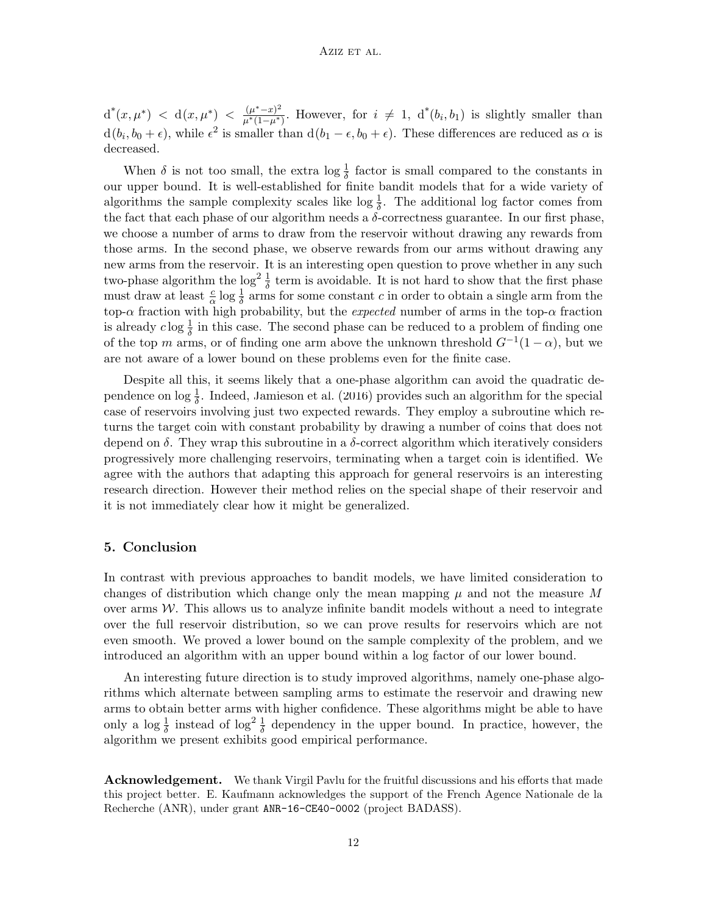$d^{*}(x, \mu^{*}) < d(x, \mu^{*}) < \frac{(\mu^{*}-x)^{2}}{(\mu^{*}(1-\mu^{*})^{2})}$  $\frac{(\mu^* - x)^2}{\mu^*(1 - \mu^*)}$ . However, for  $i \neq 1$ , d<sup>\*</sup>(b<sub>*i*</sub>, b<sub>1</sub>) is slightly smaller than  $d(b_i, b_0 + \epsilon)$ , while  $\epsilon^2$  is smaller than  $d(b_1 - \epsilon, b_0 + \epsilon)$ . These differences are reduced as  $\alpha$  is decreased.

When  $\delta$  is not too small, the extra  $\log \frac{1}{\delta}$  factor is small compared to the constants in our upper bound. It is well-established for finite bandit models that for a wide variety of algorithms the sample complexity scales like  $\log \frac{1}{\delta}$ . The additional log factor comes from the fact that each phase of our algorithm needs a  $\delta$ -correctness guarantee. In our first phase, we choose a number of arms to draw from the reservoir without drawing any rewards from those arms. In the second phase, we observe rewards from our arms without drawing any new arms from the reservoir. It is an interesting open question to prove whether in any such two-phase algorithm the  $\log^2 \frac{1}{\delta}$  term is avoidable. It is not hard to show that the first phase must draw at least  $\frac{c}{\alpha} \log \frac{1}{\delta}$  arms for some constant *c* in order to obtain a single arm from the top-*α* fraction with high probability, but the *expected* number of arms in the top-*α* fraction is already  $c \log \frac{1}{\delta}$  in this case. The second phase can be reduced to a problem of finding one of the top *m* arms, or of finding one arm above the unknown threshold  $G^{-1}(1-\alpha)$ , but we are not aware of a lower bound on these problems even for the finite case.

Despite all this, it seems likely that a one-phase algorithm can avoid the quadratic dependence on  $\log \frac{1}{\delta}$ . Indeed, [Jamieson et al.](#page-13-12) [\(2016\)](#page-13-12) provides such an algorithm for the special case of reservoirs involving just two expected rewards. They employ a subroutine which returns the target coin with constant probability by drawing a number of coins that does not depend on *δ*. They wrap this subroutine in a *δ*-correct algorithm which iteratively considers progressively more challenging reservoirs, terminating when a target coin is identified. We agree with the authors that adapting this approach for general reservoirs is an interesting research direction. However their method relies on the special shape of their reservoir and it is not immediately clear how it might be generalized.

#### **5. Conclusion**

In contrast with previous approaches to bandit models, we have limited consideration to changes of distribution which change only the mean mapping  $\mu$  and not the measure M over arms  $W$ . This allows us to analyze infinite bandit models without a need to integrate over the full reservoir distribution, so we can prove results for reservoirs which are not even smooth. We proved a lower bound on the sample complexity of the problem, and we introduced an algorithm with an upper bound within a log factor of our lower bound.

An interesting future direction is to study improved algorithms, namely one-phase algorithms which alternate between sampling arms to estimate the reservoir and drawing new arms to obtain better arms with higher confidence. These algorithms might be able to have only a  $\log \frac{1}{\delta}$  instead of  $\log^2 \frac{1}{\delta}$  dependency in the upper bound. In practice, however, the algorithm we present exhibits good empirical performance.

**Acknowledgement.** We thank Virgil Pavlu for the fruitful discussions and his efforts that made this project better. E. Kaufmann acknowledges the support of the French Agence Nationale de la Recherche (ANR), under grant ANR-16-CE40-0002 (project BADASS).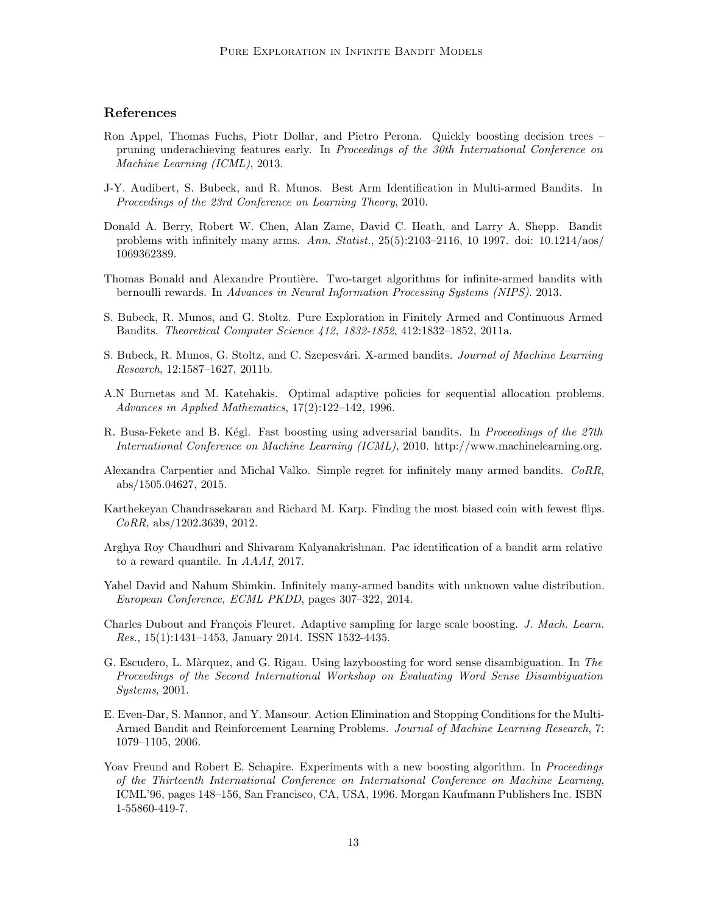## **References**

- <span id="page-12-1"></span>Ron Appel, Thomas Fuchs, Piotr Dollar, and Pietro Perona. Quickly boosting decision trees – pruning underachieving features early. In *Proceedings of the 30th International Conference on Machine Learning (ICML)*, 2013.
- <span id="page-12-11"></span>J-Y. Audibert, S. Bubeck, and R. Munos. Best Arm Identification in Multi-armed Bandits. In *Proceedings of the 23rd Conference on Learning Theory*, 2010.
- <span id="page-12-6"></span>Donald A. Berry, Robert W. Chen, Alan Zame, David C. Heath, and Larry A. Shepp. Bandit problems with infinitely many arms. *Ann. Statist.*, 25(5):2103–2116, 10 1997. doi: 10.1214/aos/ 1069362389.
- <span id="page-12-7"></span>Thomas Bonald and Alexandre Proutière. Two-target algorithms for infinite-armed bandits with bernoulli rewards. In *Advances in Neural Information Processing Systems (NIPS)*. 2013.
- <span id="page-12-12"></span>S. Bubeck, R. Munos, and G. Stoltz. Pure Exploration in Finitely Armed and Continuous Armed Bandits. *Theoretical Computer Science 412, 1832-1852*, 412:1832–1852, 2011a.
- <span id="page-12-5"></span>S. Bubeck, R. Munos, G. Stoltz, and C. Szepesv´ari. X-armed bandits. *Journal of Machine Learning Research*, 12:1587–1627, 2011b.
- <span id="page-12-15"></span>A.N Burnetas and M. Katehakis. Optimal adaptive policies for sequential allocation problems. *Advances in Applied Mathematics*, 17(2):122–142, 1996.
- <span id="page-12-2"></span>R. Busa-Fekete and B. Kégl. Fast boosting using adversarial bandits. In *Proceedings of the 27th International Conference on Machine Learning (ICML)*, 2010. http://www.machinelearning.org.
- <span id="page-12-9"></span>Alexandra Carpentier and Michal Valko. Simple regret for infinitely many armed bandits. *CoRR*, abs/1505.04627, 2015.
- <span id="page-12-13"></span>Karthekeyan Chandrasekaran and Richard M. Karp. Finding the most biased coin with fewest flips. *CoRR*, abs/1202.3639, 2012.
- <span id="page-12-14"></span>Arghya Roy Chaudhuri and Shivaram Kalyanakrishnan. Pac identification of a bandit arm relative to a reward quantile. In *AAAI*, 2017.
- <span id="page-12-8"></span>Yahel David and Nahum Shimkin. Infinitely many-armed bandits with unknown value distribution. *European Conference, ECML PKDD*, pages 307–322, 2014.
- <span id="page-12-3"></span>Charles Dubout and François Fleuret. Adaptive sampling for large scale boosting. *J. Mach. Learn. Res.*, 15(1):1431–1453, January 2014. ISSN 1532-4435.
- <span id="page-12-4"></span>G. Escudero, L. M`arquez, and G. Rigau. Using lazyboosting for word sense disambiguation. In *The Proceedings of the Second International Workshop on Evaluating Word Sense Disambiguation Systems*, 2001.
- <span id="page-12-10"></span>E. Even-Dar, S. Mannor, and Y. Mansour. Action Elimination and Stopping Conditions for the Multi-Armed Bandit and Reinforcement Learning Problems. *Journal of Machine Learning Research*, 7: 1079–1105, 2006.
- <span id="page-12-0"></span>Yoav Freund and Robert E. Schapire. Experiments with a new boosting algorithm. In *Proceedings of the Thirteenth International Conference on International Conference on Machine Learning*, ICML'96, pages 148–156, San Francisco, CA, USA, 1996. Morgan Kaufmann Publishers Inc. ISBN 1-55860-419-7.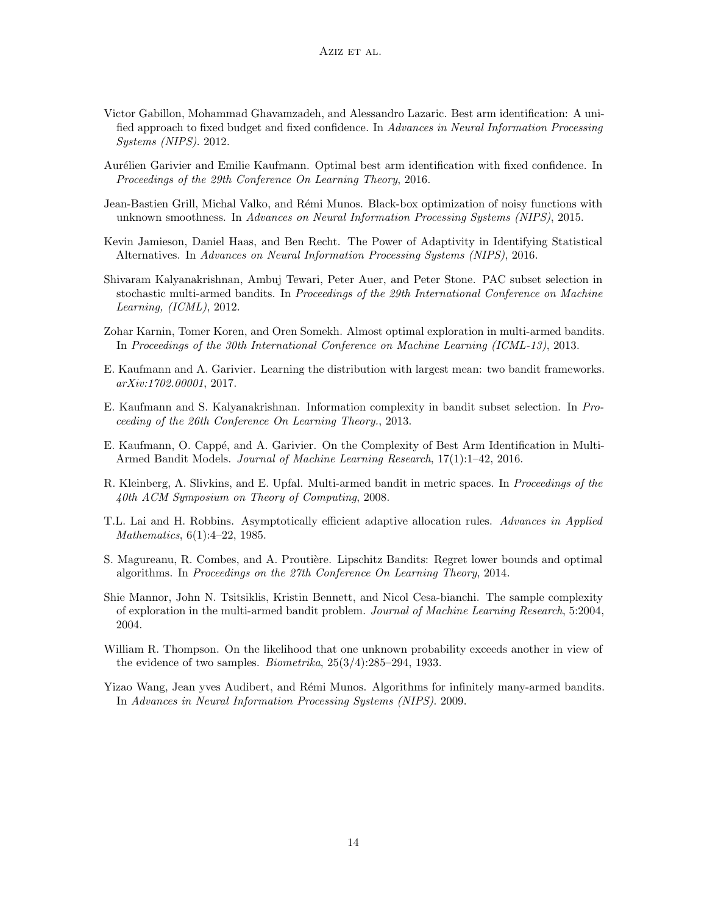- <span id="page-13-9"></span>Victor Gabillon, Mohammad Ghavamzadeh, and Alessandro Lazaric. Best arm identification: A unified approach to fixed budget and fixed confidence. In *Advances in Neural Information Processing Systems (NIPS)*. 2012.
- <span id="page-13-11"></span>Aurélien Garivier and Emilie Kaufmann. Optimal best arm identification with fixed confidence. In *Proceedings of the 29th Conference On Learning Theory*, 2016.
- <span id="page-13-1"></span>Jean-Bastien Grill, Michal Valko, and Rémi Munos. Black-box optimization of noisy functions with unknown smoothness. In *Advances on Neural Information Processing Systems (NIPS)*, 2015.
- <span id="page-13-12"></span>Kevin Jamieson, Daniel Haas, and Ben Recht. The Power of Adaptivity in Identifying Statistical Alternatives. In *Advances on Neural Information Processing Systems (NIPS)*, 2016.
- <span id="page-13-8"></span>Shivaram Kalyanakrishnan, Ambuj Tewari, Peter Auer, and Peter Stone. PAC subset selection in stochastic multi-armed bandits. In *Proceedings of the 29th International Conference on Machine Learning, (ICML)*, 2012.
- <span id="page-13-7"></span>Zohar Karnin, Tomer Koren, and Oren Somekh. Almost optimal exploration in multi-armed bandits. In *Proceedings of the 30th International Conference on Machine Learning (ICML-13)*, 2013.
- <span id="page-13-6"></span>E. Kaufmann and A. Garivier. Learning the distribution with largest mean: two bandit frameworks. *arXiv:1702.00001*, 2017.
- <span id="page-13-4"></span>E. Kaufmann and S. Kalyanakrishnan. Information complexity in bandit subset selection. In *Proceeding of the 26th Conference On Learning Theory.*, 2013.
- <span id="page-13-3"></span>E. Kaufmann, O. Cappé, and A. Garivier. On the Complexity of Best Arm Identification in Multi-Armed Bandit Models. *Journal of Machine Learning Research*, 17(1):1–42, 2016.
- <span id="page-13-0"></span>R. Kleinberg, A. Slivkins, and E. Upfal. Multi-armed bandit in metric spaces. In *Proceedings of the 40th ACM Symposium on Theory of Computing*, 2008.
- <span id="page-13-13"></span>T.L. Lai and H. Robbins. Asymptotically efficient adaptive allocation rules. *Advances in Applied Mathematics*, 6(1):4–22, 1985.
- <span id="page-13-14"></span>S. Magureanu, R. Combes, and A. Proutière. Lipschitz Bandits: Regret lower bounds and optimal algorithms. In *Proceedings on the 27th Conference On Learning Theory*, 2014.
- <span id="page-13-10"></span>Shie Mannor, John N. Tsitsiklis, Kristin Bennett, and Nicol Cesa-bianchi. The sample complexity of exploration in the multi-armed bandit problem. *Journal of Machine Learning Research*, 5:2004, 2004.
- <span id="page-13-5"></span>William R. Thompson. On the likelihood that one unknown probability exceeds another in view of the evidence of two samples. *Biometrika*, 25(3/4):285–294, 1933.
- <span id="page-13-2"></span>Yizao Wang, Jean yves Audibert, and Rémi Munos. Algorithms for infinitely many-armed bandits. In *Advances in Neural Information Processing Systems (NIPS)*. 2009.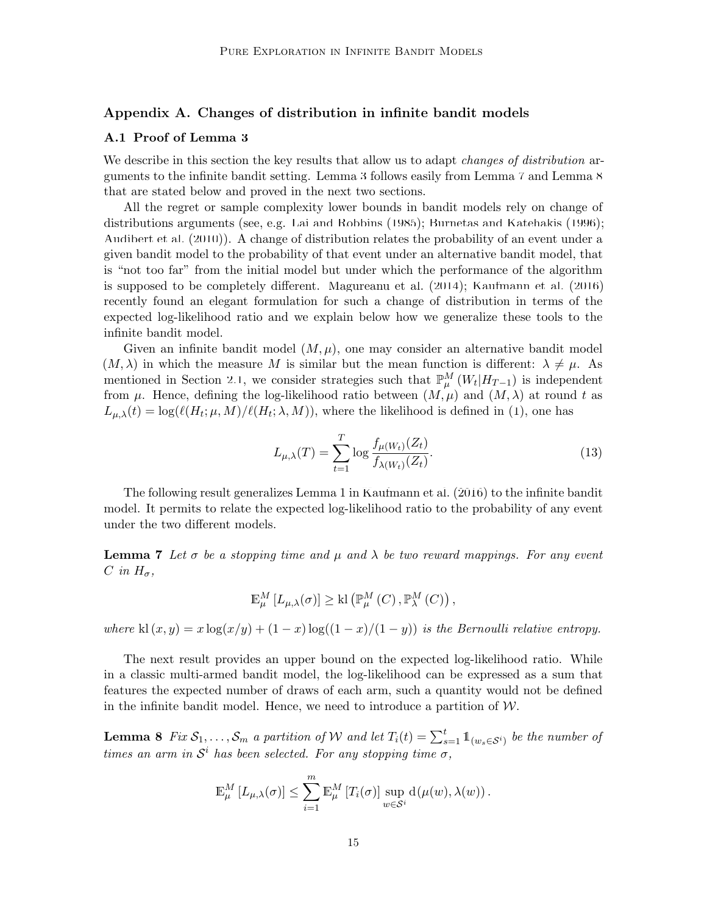#### **Appendix A. Changes of distribution in infinite bandit models**

#### <span id="page-14-0"></span>**A.1 Proof of Lemma [3](#page-7-2)**

We describe in this section the key results that allow us to adapt *changes of distribution* arguments to the infinite bandit setting. Lemma [3](#page-7-2) follows easily from Lemma [7](#page-14-1) and Lemma [8](#page-14-2) that are stated below and proved in the next two sections.

All the regret or sample complexity lower bounds in bandit models rely on change of distributions arguments (see, e.g. [Lai and Robbins](#page-13-13) [\(1985\)](#page-13-13); [Burnetas and Katehakis](#page-12-15) [\(1996](#page-12-15)); [Audibert et al.](#page-12-11) [\(2010](#page-12-11))). A change of distribution relates the probability of an event under a given bandit model to the probability of that event under an alternative bandit model, that is "not too far" from the initial model but under which the performance of the algorithm is supposed to be completely different. [Magureanu et al.](#page-13-14) ([2014\)](#page-13-14); [Kaufmann et al.](#page-13-3) [\(2016](#page-13-3)) recently found an elegant formulation for such a change of distribution in terms of the expected log-likelihood ratio and we explain below how we generalize these tools to the infinite bandit model.

Given an infinite bandit model  $(M, \mu)$ , one may consider an alternative bandit model  $(M, \lambda)$  in which the measure M is similar but the mean function is different:  $\lambda \neq \mu$ . As mentioned in Section [2.1](#page-2-1), we consider strategies such that  $\mathbb{P}_{\mu}^{M}(W_t|H_{T-1})$  is independent from  $\mu$ . Hence, defining the log-likelihood ratio between  $(M, \mu)$  and  $(M, \lambda)$  at round t as  $L_{\mu,\lambda}(t) = \log(\ell(H_t;\mu,M)/\ell(H_t;\lambda,M))$ , where the likelihood is defined in ([1](#page-3-0)), one has

<span id="page-14-3"></span>
$$
L_{\mu,\lambda}(T) = \sum_{t=1}^{T} \log \frac{f_{\mu(W_t)}(Z_t)}{f_{\lambda(W_t)}(Z_t)}.
$$
\n(13)

The following result generalizes Lemma 1 in [Kaufmann et al.](#page-13-3) ([2016\)](#page-13-3) to the infinite bandit model. It permits to relate the expected log-likelihood ratio to the probability of any event under the two different models.

<span id="page-14-1"></span>**Lemma 7** Let  $\sigma$  be a stopping time and  $\mu$  and  $\lambda$  be two reward mappings. For any event  $C$  *in*  $H_{\sigma}$ *,* 

$$
\mathbb{E}_{\mu}^{M}[L_{\mu,\lambda}(\sigma)] \geq \mathrm{kl}\left(\mathbb{P}_{\mu}^{M}(C),\mathbb{P}_{\lambda}^{M}(C)\right),
$$

*where* kl  $(x, y) = x \log(x/y) + (1 - x) \log((1 - x)/(1 - y))$  *is the Bernoulli relative entropy.* 

The next result provides an upper bound on the expected log-likelihood ratio. While in a classic multi-armed bandit model, the log-likelihood can be expressed as a sum that features the expected number of draws of each arm, such a quantity would not be defined in the infinite bandit model. Hence, we need to introduce a partition of  $W$ .

<span id="page-14-2"></span>**Lemma 8** Fix  $S_1, \ldots, S_m$  a partition of W and let  $T_i(t) = \sum_{s=1}^t \mathbb{1}_{(w_s \in S^i)}$  be the number of *times an arm in*  $S<sup>i</sup>$  *has been selected. For any stopping time*  $\sigma$ *,* 

$$
\mathbb{E}_{\mu}^{M}[L_{\mu,\lambda}(\sigma)] \leq \sum_{i=1}^{m} \mathbb{E}_{\mu}^{M}[T_i(\sigma)] \sup_{w \in S^i} d(\mu(w), \lambda(w)).
$$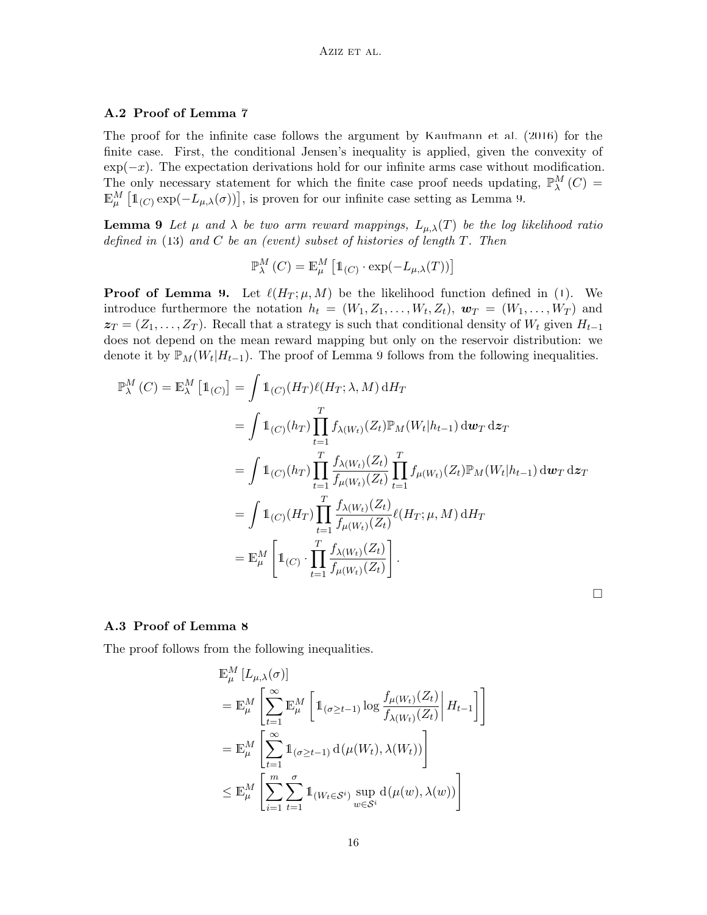#### **A.2 Proof of Lemma [7](#page-14-1)**

The proof for the infinite case follows the argument by [Kaufmann et al.](#page-13-3) ([2016\)](#page-13-3) for the finite case. First, the conditional Jensen's inequality is applied, given the convexity of exp(*−x*). The expectation derivations hold for our infinite arms case without modification. The only necessary statement for which the finite case proof needs updating,  $\mathbb{P}_{\lambda}^{M}(C)$  =  $\mathbb{E}_{\mu}^{M}$  [ $\mathbb{1}_{(C)} \exp(-L_{\mu,\lambda}(\sigma))$ ], is proven for our infinite case setting as Lemma [9.](#page-15-0)

<span id="page-15-0"></span>**Lemma 9** *Let*  $\mu$  *and*  $\lambda$  *be two arm reward mappings,*  $L_{\mu,\lambda}(T)$  *be the log likelihood ratio defined in* [\(13](#page-14-3)) *and C be an (event) subset of histories of length T. Then*

$$
\mathbb{P}^M_\lambda \left( C \right) = \mathbb{E}^M_\mu \left[ \mathbb{1}_{\left( C \right)} \cdot \exp(- L_{\mu,\lambda}(T)) \right]
$$

**Proof of Lemma [9.](#page-15-0)** Let  $\ell(H_T; \mu, M)$  be the likelihood function defined in ([1\)](#page-3-0). We introduce furthermore the notation  $h_t = (W_1, Z_1, \ldots, W_t, Z_t), \mathbf{w}_T = (W_1, \ldots, W_T)$  and  $z_T = (Z_1, \ldots, Z_T)$ . Recall that a strategy is such that conditional density of  $W_t$  given  $H_{t-1}$ does not depend on the mean reward mapping but only on the reservoir distribution: we denote it by  $\mathbb{P}_M(W_t|H_{t-1})$ . The proof of Lemma [9](#page-15-0) follows from the following inequalities.

$$
\mathbb{P}_{\lambda}^{M}(C) = \mathbb{E}_{\lambda}^{M} [\mathbb{1}_{(C)}] = \int \mathbb{1}_{(C)} (H_{T}) \ell(H_{T}; \lambda, M) dH_{T}
$$
\n
$$
= \int \mathbb{1}_{(C)} (h_{T}) \prod_{t=1}^{T} f_{\lambda(W_{t})} (Z_{t}) \mathbb{P}_{M}(W_{t} | h_{t-1}) d\mathbf{w}_{T} d\mathbf{z}_{T}
$$
\n
$$
= \int \mathbb{1}_{(C)} (h_{T}) \prod_{t=1}^{T} \frac{f_{\lambda(W_{t})} (Z_{t})}{f_{\mu(W_{t})} (Z_{t})} \prod_{t=1}^{T} f_{\mu(W_{t})} (Z_{t}) \mathbb{P}_{M}(W_{t} | h_{t-1}) d\mathbf{w}_{T} d\mathbf{z}_{T}
$$
\n
$$
= \int \mathbb{1}_{(C)} (H_{T}) \prod_{t=1}^{T} \frac{f_{\lambda(W_{t})} (Z_{t})}{f_{\mu(W_{t})} (Z_{t})} \ell(H_{T}; \mu, M) dH_{T}
$$
\n
$$
= \mathbb{E}_{\mu}^{M} \left[ \mathbb{1}_{(C)} \cdot \prod_{t=1}^{T} \frac{f_{\lambda(W_{t})} (Z_{t})}{f_{\mu(W_{t})} (Z_{t})} \right].
$$

#### **A.3 Proof of Lemma [8](#page-14-2)**

The proof follows from the following inequalities.

$$
\mathbb{E}_{\mu}^{M} [L_{\mu,\lambda}(\sigma)]
$$
\n
$$
= \mathbb{E}_{\mu}^{M} \left[ \sum_{t=1}^{\infty} \mathbb{E}_{\mu}^{M} \left[ \mathbb{1}_{(\sigma \geq t-1)} \log \frac{f_{\mu(W_t)}(Z_t)}{f_{\lambda(W_t)}(Z_t)} \middle| H_{t-1} \right] \right]
$$
\n
$$
= \mathbb{E}_{\mu}^{M} \left[ \sum_{t=1}^{\infty} \mathbb{1}_{(\sigma \geq t-1)} d(\mu(W_t), \lambda(W_t)) \right]
$$
\n
$$
\leq \mathbb{E}_{\mu}^{M} \left[ \sum_{i=1}^{m} \sum_{t=1}^{\sigma} \mathbb{1}_{(W_t \in S^i)} \sup_{w \in S^i} d(\mu(w), \lambda(w)) \right]
$$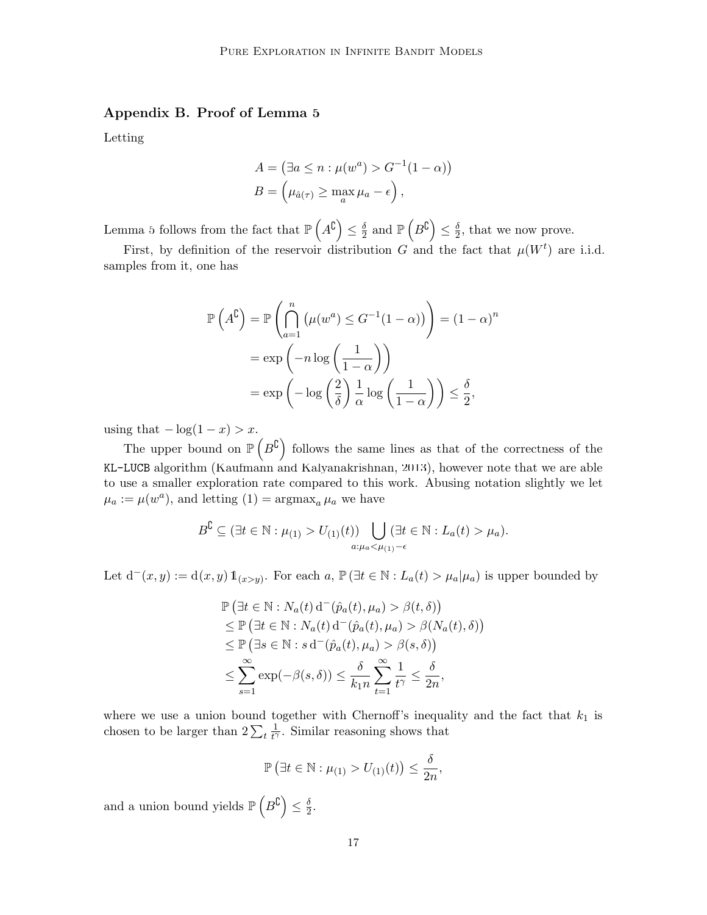# **Appendix B. Proof of Lemma [5](#page-9-2)**

Letting

$$
A = (\exists a \le n : \mu(w^a) > G^{-1}(1 - \alpha))
$$
  

$$
B = (\mu_{\hat{a}(\tau)} \ge \max_a \mu_a - \epsilon),
$$

Lemma [5](#page-9-2) follows from the fact that  $\mathbb{P}\left(A^{\complement}\right) \leq \frac{\delta}{2}$  $\frac{\delta}{2}$  and  $\mathbb{P}\left(B^{\complement}\right) \leq \frac{\delta}{2}$  $\frac{\delta}{2}$ , that we now prove.

First, by definition of the reservoir distribution *G* and the fact that  $\mu(W^t)$  are i.i.d. samples from it, one has

$$
\mathbb{P}\left(A^{\complement}\right) = \mathbb{P}\left(\bigcap_{a=1}^{n} \left(\mu(w^{a}) \leq G^{-1}(1-\alpha)\right)\right) = (1-\alpha)^{n}
$$

$$
= \exp\left(-n\log\left(\frac{1}{1-\alpha}\right)\right)
$$

$$
= \exp\left(-\log\left(\frac{2}{\delta}\right)\frac{1}{\alpha}\log\left(\frac{1}{1-\alpha}\right)\right) \leq \frac{\delta}{2},
$$

using that  $-\log(1-x) > x$ .

The upper bound on  $\mathbb{P}(B^{\mathbb{C}})$  follows the same lines as that of the correctness of the KL-LUCB algorithm ([Kaufmann and Kalyanakrishnan,](#page-13-4) [2013\)](#page-13-4), however note that we are able to use a smaller exploration rate compared to this work. Abusing notation slightly we let  $\mu_a := \mu(w^a)$ , and letting  $(1) = \operatorname{argmax}_a \mu_a$  we have

$$
B^{\complement} \subseteq (\exists t \in \mathbb{N} : \mu_{(1)} > U_{(1)}(t)) \bigcup_{a: \mu_a < \mu_{(1)} - \epsilon} (\exists t \in \mathbb{N} : L_a(t) > \mu_a).
$$

Let  $d^-(x, y) := d(x, y) 1\!\!1_{(x>y)}$ . For each  $a, P(\exists t \in \mathbb{N}: L_a(t) > \mu_a | \mu_a)$  is upper bounded by

$$
\mathbb{P}(\exists t \in \mathbb{N} : N_a(t) d^-(\hat{p}_a(t), \mu_a) > \beta(t, \delta))
$$
\n
$$
\leq \mathbb{P}(\exists t \in \mathbb{N} : N_a(t) d^-(\hat{p}_a(t), \mu_a) > \beta(N_a(t), \delta))
$$
\n
$$
\leq \mathbb{P}(\exists s \in \mathbb{N} : s d^-(\hat{p}_a(t), \mu_a) > \beta(s, \delta))
$$
\n
$$
\leq \sum_{s=1}^{\infty} \exp(-\beta(s, \delta)) \leq \frac{\delta}{k_1 n} \sum_{t=1}^{\infty} \frac{1}{t^{\gamma}} \leq \frac{\delta}{2n},
$$

where we use a union bound together with Chernoff's inequality and the fact that  $k_1$  is chosen to be larger than  $2\sum_t \frac{1}{t^{\gamma}}$  $\frac{1}{t^{\gamma}}$ . Similar reasoning shows that

$$
\mathbb{P}\left(\exists t\in\mathbb{N}:\mu_{(1)}>U_{(1)}(t)\right)\leq\frac{\delta}{2n},
$$

and a union bound yields  $\mathbb{P}\left(B^{\complement}\right) \leq \frac{\delta}{2}$  $\frac{\delta}{2}$ .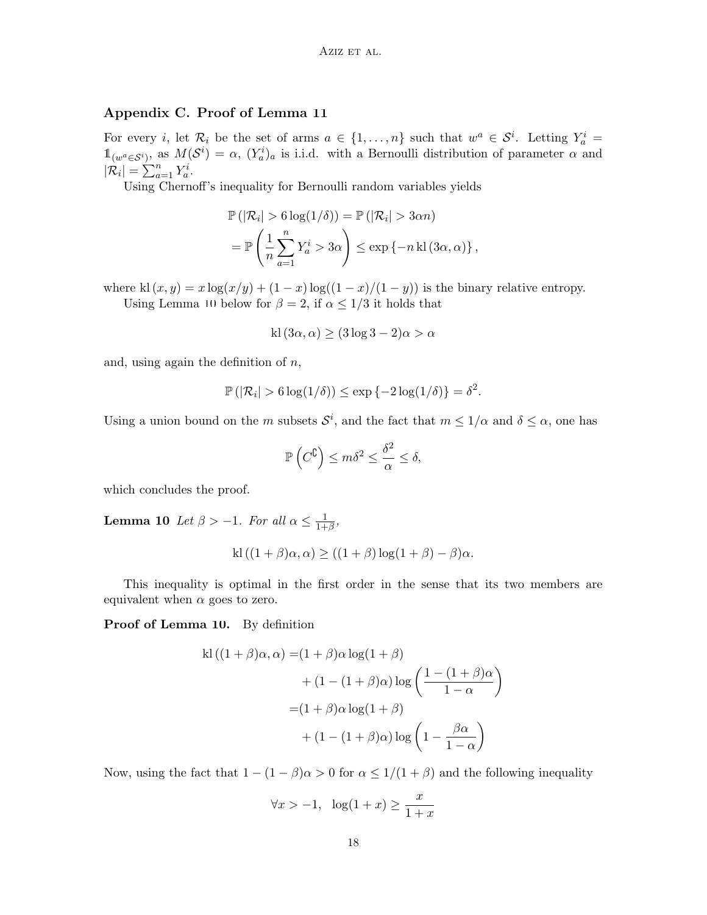# **Appendix C. Proof of Lemma [11](#page-18-0)**

For every *i*, let  $\mathcal{R}_i$  be the set of arms  $a \in \{1, \ldots, n\}$  such that  $w^a \in \mathcal{S}^i$ . Letting  $Y_a^i =$  $\mathbb{1}_{(w^a \in \mathcal{S}^i)}$ , as  $M(\mathcal{S}^i) = \alpha$ ,  $(Y_a^i)_a$  is i.i.d. with a Bernoulli distribution of parameter  $\alpha$  and  $|\mathcal{R}_i| = \sum_{a=1}^n Y_a^i$ .

Using Chernoff's inequality for Bernoulli random variables yields

$$
\mathbb{P}(|\mathcal{R}_i| > 6 \log(1/\delta)) = \mathbb{P}(|\mathcal{R}_i| > 3\alpha n)
$$
  
= 
$$
\mathbb{P}\left(\frac{1}{n}\sum_{a=1}^n Y_a^i > 3\alpha\right) \le \exp\{-n \operatorname{kl}(3\alpha, \alpha)\},
$$

where kl  $(x, y) = x \log(x/y) + (1 - x) \log((1 - x)/(1 - y))$  is the binary relative entropy. Using Lemma [10](#page-17-0) below for  $\beta = 2$ , if  $\alpha \leq 1/3$  it holds that

$$
kl(3\alpha,\alpha) \ge (3\log 3 - 2)\alpha > \alpha
$$

and, using again the definition of *n*,

$$
\mathbb{P}(|\mathcal{R}_i| > 6 \log(1/\delta)) \le \exp\{-2\log(1/\delta)\} = \delta^2.
$$

Using a union bound on the *m* subsets  $S^i$ , and the fact that  $m \leq 1/\alpha$  and  $\delta \leq \alpha$ , one has

$$
\mathbb{P}\left(C^{\complement}\right) \le m\delta^2 \le \frac{\delta^2}{\alpha} \le \delta,
$$

<span id="page-17-0"></span>which concludes the proof.

**Lemma 10** *Let*  $\beta > -1$ *. For all*  $\alpha \leq \frac{1}{1+1}$  $\frac{1}{1+\beta}$ 

$$
kl((1+\beta)\alpha,\alpha) \ge ((1+\beta)\log(1+\beta)-\beta)\alpha.
$$

This inequality is optimal in the first order in the sense that its two members are equivalent when  $\alpha$  goes to zero.

#### **Proof of Lemma [10.](#page-17-0)** By definition

$$
kl ((1 + \beta)\alpha, \alpha) = (1 + \beta)\alpha \log(1 + \beta)
$$
  
+ 
$$
(1 - (1 + \beta)\alpha) \log \left(\frac{1 - (1 + \beta)\alpha}{1 - \alpha}\right)
$$
  
= 
$$
(1 + \beta)\alpha \log(1 + \beta)
$$
  
+ 
$$
(1 - (1 + \beta)\alpha) \log \left(1 - \frac{\beta\alpha}{1 - \alpha}\right)
$$

Now, using the fact that  $1 - (1 - \beta)\alpha > 0$  for  $\alpha \leq 1/(1 + \beta)$  and the following inequality

$$
\forall x > -1, \ \ \log(1+x) \ge \frac{x}{1+x}
$$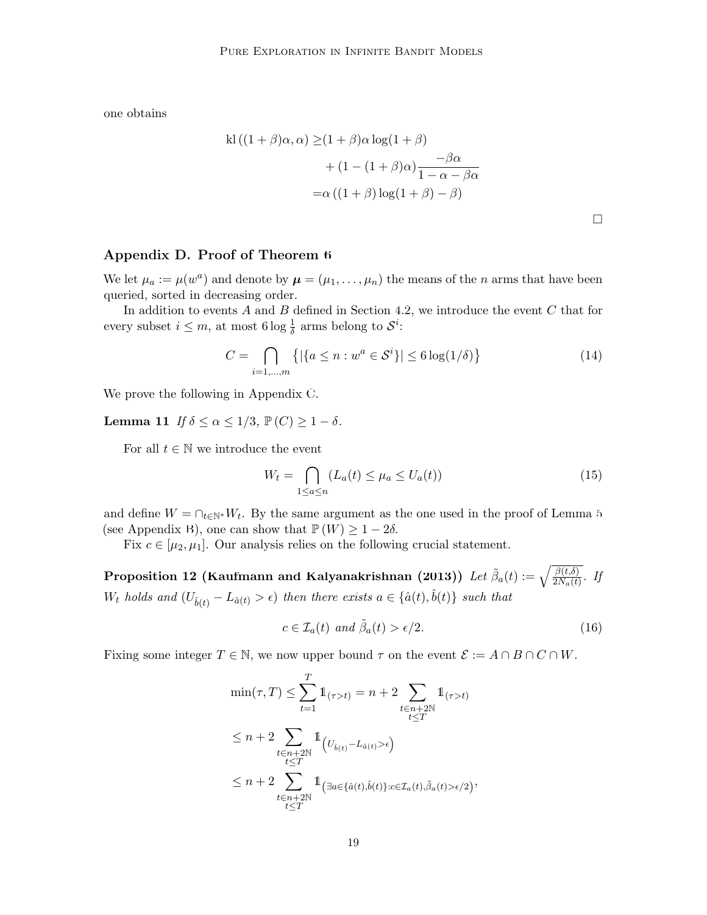one obtains

$$
kl((1 + \beta)\alpha, \alpha) \ge (1 + \beta)\alpha \log(1 + \beta)
$$
  
+  $(1 - (1 + \beta)\alpha)\frac{-\beta\alpha}{1 - \alpha - \beta\alpha}$   
=  $\alpha((1 + \beta)\log(1 + \beta) - \beta)$ 

# **Appendix D. Proof of Theorem [6](#page-10-1)**

We let  $\mu_a := \mu(w^a)$  and denote by  $\mu = (\mu_1, \dots, \mu_n)$  the means of the *n* arms that have been queried, sorted in decreasing order.

In addition to events *A* and *B* defined in Section [4.2,](#page-9-3) we introduce the event *C* that for every subset  $i \leq m$ , at most  $6 \log \frac{1}{\delta}$  arms belong to  $S^i$ :

$$
C = \bigcap_{i=1,\dots,m} \left\{ |\{a \le n : w^a \in \mathcal{S}^i\}| \le 6 \log(1/\delta) \right\} \tag{14}
$$

<span id="page-18-0"></span>We prove the following in Appendix [C](#page-6-0).

Lemma 11 *If*  $\delta \leq \alpha \leq 1/3$ ,  $\mathbb{P}(C) \geq 1 - \delta$ .

For all  $t \in \mathbb{N}$  we introduce the event

$$
W_t = \bigcap_{1 \le a \le n} (L_a(t) \le \mu_a \le U_a(t)) \tag{15}
$$

and define  $W = \bigcap_{t \in \mathbb{N}^*} W_t$ . By the same argument as the one used in the proof of Lemma [5](#page-9-2) (see Appendix [B](#page-2-0)), one can show that  $\mathbb{P}(W) \geq 1-2\delta$ .

Fix  $c \in [\mu_2, \mu_1]$ . Our analysis relies on the following crucial statement.

<span id="page-18-1"></span> ${\bf Proposition \ 12 \ (Kaufmann \ and \ Kalyanakrishnan \ (2013))} \ \ Let \ \tilde{\beta}_a(t):=\sqrt{\frac{\beta(t,\delta)}{2N_a(t)}}. \ \ If \ \tilde{\beta}_a(t):=\frac{\beta(t,\delta)}{2N_a(t)} \ \ for \ \delta_a(t):=\frac{\beta(t,\delta)}{2N_a(t)} \ \ for \ \delta_a(t):=\frac{\beta(t,\delta)}{2N_a(t)} \ \ for \ \delta_a(t):=\frac{\beta(t,\delta)}{2N_a(t)} \ \ for \ \delta_a(t):=\frac{\beta(t,\delta)}{2N_a(t)} \ \ for \ \delta_a(t):=\frac{\beta(t,\delta)}{2N_a(t)} \ \ for \ \delta_a(t):=\frac{\beta(t,\delta)}{2N$  ${\bf Proposition \ 12 \ (Kaufmann \ and \ Kalyanakrishnan \ (2013))} \ \ Let \ \tilde{\beta}_a(t):=\sqrt{\frac{\beta(t,\delta)}{2N_a(t)}}. \ \ If \ \tilde{\beta}_a(t):=\frac{\beta(t,\delta)}{2N_a(t)} \ \ for \ \delta_a(t):=\frac{\beta(t,\delta)}{2N_a(t)} \ \ for \ \delta_a(t):=\frac{\beta(t,\delta)}{2N_a(t)} \ \ for \ \delta_a(t):=\frac{\beta(t,\delta)}{2N_a(t)} \ \ for \ \delta_a(t):=\frac{\beta(t,\delta)}{2N_a(t)} \ \ for \ \delta_a(t):=\frac{\beta(t,\delta)}{2N_a(t)} \ \ for \ \delta_a(t):=\frac{\beta(t,\delta)}{2N$  ${\bf Proposition \ 12 \ (Kaufmann \ and \ Kalyanakrishnan \ (2013))} \ \ Let \ \tilde{\beta}_a(t):=\sqrt{\frac{\beta(t,\delta)}{2N_a(t)}}. \ \ If \ \tilde{\beta}_a(t):=\frac{\beta(t,\delta)}{2N_a(t)} \ \ for \ \delta_a(t):=\frac{\beta(t,\delta)}{2N_a(t)} \ \ for \ \delta_a(t):=\frac{\beta(t,\delta)}{2N_a(t)} \ \ for \ \delta_a(t):=\frac{\beta(t,\delta)}{2N_a(t)} \ \ for \ \delta_a(t):=\frac{\beta(t,\delta)}{2N_a(t)} \ \ for \ \delta_a(t):=\frac{\beta(t,\delta)}{2N_a(t)} \ \ for \ \delta_a(t):=\frac{\beta(t,\delta)}{2N$  $W_t$  holds and  $(U_{\hat{b}(t)} - L_{\hat{a}(t)} > \epsilon)$  then there exists  $a \in {\hat{a}(t), \hat{b}(t)}$  such that

$$
c \in \mathcal{I}_a(t) \text{ and } \tilde{\beta}_a(t) > \epsilon/2. \tag{16}
$$

Fixing some integer  $T \in \mathbb{N}$ , we now upper bound  $\tau$  on the event  $\mathcal{E} := A \cap B \cap C \cap W$ .

$$
\min(\tau, T) \leq \sum_{t=1}^{T} \mathbb{1}_{(\tau > t)} = n + 2 \sum_{\substack{t \in n + 2\mathbb{N} \\ t \leq T}} \mathbb{1}_{(\tau > t)}
$$
  

$$
\leq n + 2 \sum_{\substack{t \in n + 2\mathbb{N} \\ t \leq T}} \mathbb{1}_{\left(U_{\hat{b}(t)} - L_{\hat{a}(t)} > \epsilon\right)}
$$
  

$$
\leq n + 2 \sum_{\substack{t \in n + 2\mathbb{N} \\ t \leq T}} \mathbb{1}_{\left(\exists a \in \{\hat{a}(t), \hat{b}(t)\}: c \in \mathcal{I}_a(t), \tilde{\beta}_a(t) > \epsilon/2\right)},
$$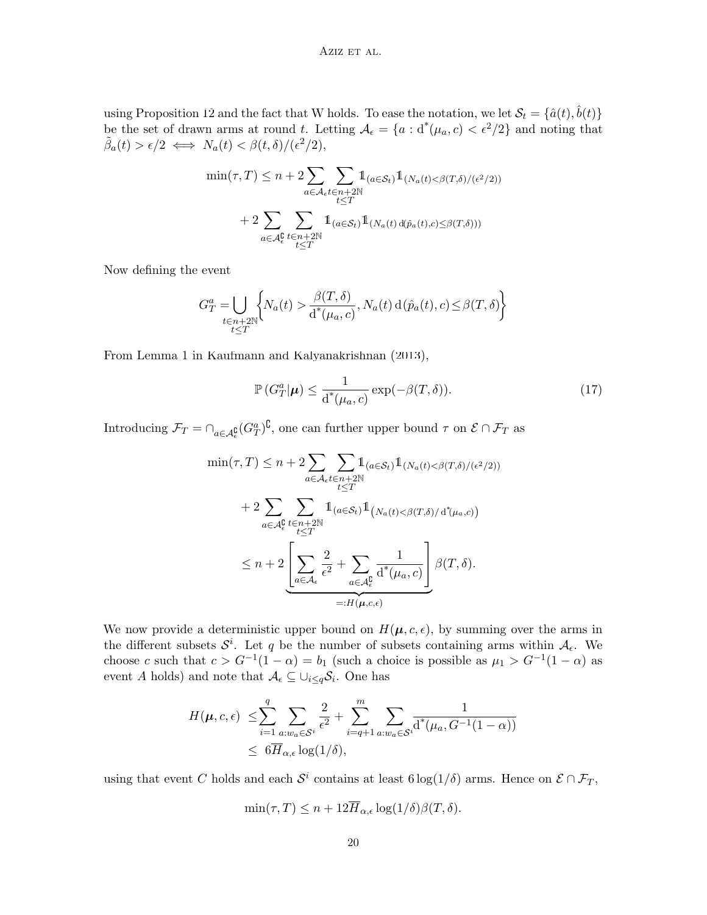using Proposition [12](#page-18-1) and the fact that W holds. To ease the notation, we let  $S_t = \{\hat{a}(t), \hat{b}(t)\}$ be the set of drawn arms at round *t*. Letting  $A_{\epsilon} = \{a : d^*(\mu_a, c) < \epsilon^2/2\}$  and noting that  $\tilde{\beta}_a(t) > \epsilon/2 \iff N_a(t) < \beta(t,\delta)/(\epsilon^2/2),$ 

$$
\min(\tau, T) \le n + 2 \sum_{a \in \mathcal{A}_{\epsilon}} \sum_{t \in n+2\mathbb{N}} 1_{(a \in \mathcal{S}_t)} 1_{(N_a(t) < \beta(T, \delta) / (\epsilon^2/2))}
$$
\n
$$
+ 2 \sum_{a \in \mathcal{A}_{\epsilon}} \sum_{t \in n+2\mathbb{N}} 1_{(a \in \mathcal{S}_t)} 1_{(N_a(t) d(\hat{p}_a(t), c) \le \beta(T, \delta)))}
$$

Now defining the event

$$
G_T^a = \bigcup_{\substack{t \in n+2\mathbb{N} \\ t \le T}} \biggl\{ N_a(t) > \frac{\beta(T,\delta)}{\operatorname{d}^*(\mu_a, c)}, N_a(t) \operatorname{d}(\hat{p}_a(t), c) \le \beta(T,\delta) \biggr\}
$$

From Lemma 1 in [Kaufmann and Kalyanakrishnan](#page-13-4) ([2013](#page-13-4)),

<span id="page-19-0"></span>
$$
\mathbb{P}\left(G_T^a|\boldsymbol{\mu}\right) \le \frac{1}{d^*(\mu_a, c)} \exp(-\beta(T, \delta)).\tag{17}
$$

Introducing  $\mathcal{F}_T = \bigcap_{a \in \mathcal{A}_{\epsilon}^{\mathbf{0}}}(G_T^a)^{\mathbf{C}},$  one can further upper bound  $\tau$  on  $\mathcal{E} \cap \mathcal{F}_T$  as

$$
\min(\tau, T) \leq n + 2 \sum_{a \in \mathcal{A}_{\epsilon}} \sum_{t \leq T} \mathbb{1}_{(a \in \mathcal{S}_{t})} \mathbb{1}_{(N_a(t) < \beta(T, \delta) / (\epsilon^2/2))}
$$
\n
$$
+ 2 \sum_{a \in \mathcal{A}_{\epsilon}} \sum_{t \leq T} \mathbb{1}_{(a \in \mathcal{S}_{t})} \mathbb{1}_{(N_a(t) < \beta(T, \delta) / d^*(\mu_a, c))}
$$
\n
$$
\leq n + 2 \underbrace{\left[ \sum_{a \in \mathcal{A}_{\epsilon}} \frac{2}{\epsilon^2} + \sum_{a \in \mathcal{A}_{\epsilon}^0} \frac{1}{d^*(\mu_a, c)} \right]}_{=: H(\mu, c, \epsilon)} \beta(T, \delta).
$$

We now provide a deterministic upper bound on  $H(\mu, c, \epsilon)$ , by summing over the arms in the different subsets  $S^i$ . Let *q* be the number of subsets containing arms within  $A_{\epsilon}$ . We choose *c* such that  $c > G^{-1}(1 - \alpha) = b_1$  (such a choice is possible as  $\mu_1 > G^{-1}(1 - \alpha)$  as event *A* holds) and note that  $\mathcal{A}_{\epsilon} \subseteq \cup_{i \leq q} \mathcal{S}_i$ . One has

$$
H(\boldsymbol{\mu}, c, \epsilon) \leq \sum_{i=1}^{q} \sum_{a:w_a \in \mathcal{S}^i} \frac{2}{\epsilon^2} + \sum_{i=q+1}^{m} \sum_{a:w_a \in \mathcal{S}^i} \frac{1}{d^*(\mu_a, G^{-1}(1-\alpha))}
$$
  
  $\leq 6\overline{H}_{\alpha,\epsilon} \log(1/\delta),$ 

using that event *C* holds and each  $S^i$  contains at least  $6 \log(1/\delta)$  arms. Hence on  $\mathcal{E} \cap \mathcal{F}_T$ ,

$$
\min(\tau, T) \le n + 12H_{\alpha, \epsilon} \log(1/\delta) \beta(T, \delta).
$$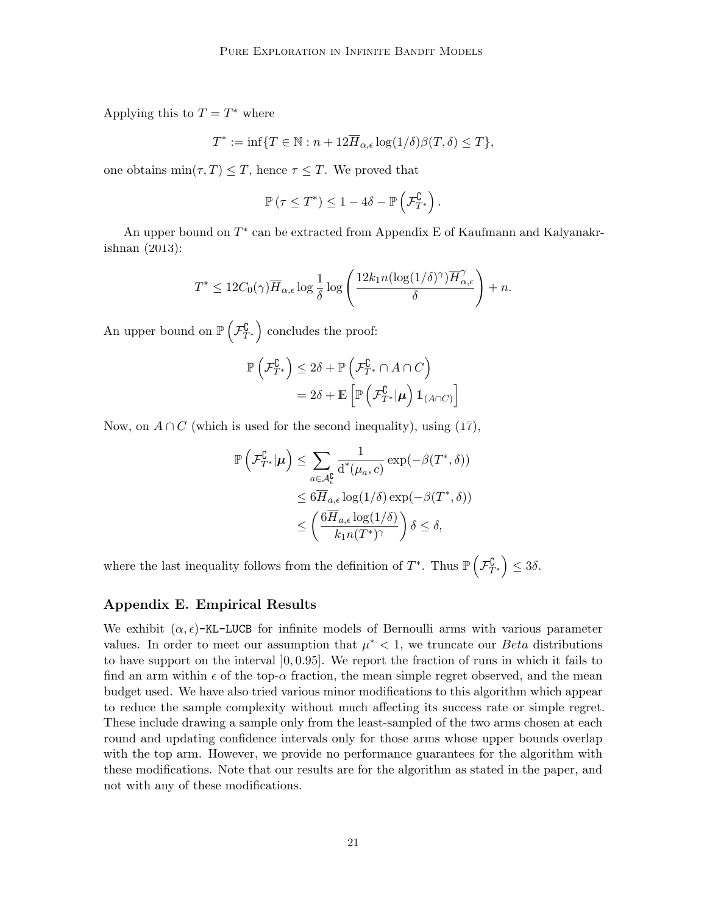Applying this to  $T = T^*$  where

$$
T^*:=\inf\{T\in\mathbb{N}:n+12\overline{H}_{\alpha,\epsilon}\log(1/\delta)\beta(T,\delta)\leq T\},
$$

one obtains  $\min(\tau, T) \leq T$ , hence  $\tau \leq T$ . We proved that

$$
\mathbb{P}\left(\tau \leq T^*\right) \leq 1 - 4\delta - \mathbb{P}\left(\mathcal{F}_{T^*}^{\complement}\right).
$$

An upper bound on *T ∗* can be extracted from Appendix E of [Kaufmann and Kalyanakr](#page-13-4)[ishnan](#page-13-4) ([2013\)](#page-13-4):

$$
T^* \leq 12C_0(\gamma)\overline{H}_{\alpha,\epsilon}\log\frac{1}{\delta}\log\left(\frac{12k_1n(\log(1/\delta)^\gamma)\overline{H}_{\alpha,\epsilon}^{\gamma}}{\delta}\right) + n.
$$

An upper bound on  $\mathbb{P}\left(\mathcal{F}_{T^*}^{\complement}\right)$  concludes the proof:

$$
\mathbb{P}\left(\mathcal{F}_{T^*}^{\complement}\right) \leq 2\delta + \mathbb{P}\left(\mathcal{F}_{T^*}^{\complement} \cap A \cap C\right)
$$

$$
= 2\delta + \mathbb{E}\left[\mathbb{P}\left(\mathcal{F}_{T^*}^{\complement}|\boldsymbol{\mu}\right) \mathbb{1}_{(A \cap C)}\right]
$$

Now, on  $A \cap C$  (which is used for the second inequality), using [\(17](#page-19-0)),

$$
\mathbb{P}\left(\mathcal{F}_{T^*}^{\complement}|\boldsymbol{\mu}\right) \leq \sum_{a \in \mathcal{A}_{\epsilon}^{\complement}} \frac{1}{d^*(\mu_a, c)} \exp(-\beta(T^*, \delta))
$$
  

$$
\leq 6\overline{H}_{a,\epsilon} \log(1/\delta) \exp(-\beta(T^*, \delta))
$$
  

$$
\leq \left(\frac{6\overline{H}_{a,\epsilon} \log(1/\delta)}{k_1 n(T^*)^{\gamma}}\right) \delta \leq \delta,
$$

where the last inequality follows from the definition of  $T^*$ . Thus  $\mathbb{P}(\mathcal{F}_{T^*}^{\mathbb{C}}) \leq 3\delta$ .

#### **Appendix E. Empirical Results**

We exhibit  $(\alpha, \epsilon)$ -KL-LUCB for infinite models of Bernoulli arms with various parameter values. In order to meet our assumption that  $\mu^*$  < 1, we truncate our *Beta* distributions to have support on the interval ]0*,* 0*.*95]. We report the fraction of runs in which it fails to find an arm within  $\epsilon$  of the top- $\alpha$  fraction, the mean simple regret observed, and the mean budget used. We have also tried various minor modifications to this algorithm which appear to reduce the sample complexity without much affecting its success rate or simple regret. These include drawing a sample only from the least-sampled of the two arms chosen at each round and updating confidence intervals only for those arms whose upper bounds overlap with the top arm. However, we provide no performance guarantees for the algorithm with these modifications. Note that our results are for the algorithm as stated in the paper, and not with any of these modifications.